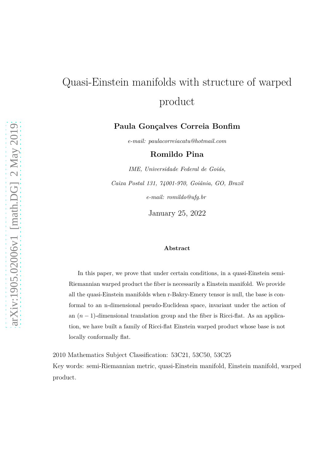# Quasi-Einstein manifolds with structure of warped product

#### **Paula Gonçalves Correia Bonfim**

*e-mail: paulacorreiacatu@hotmail.com*

**Romildo Pina**

*IME, Universidade Federal de Goiás, Caixa Postal 131, 74001-970, Goiânia, GO, Brazil e-mail: romildo@ufg.br*

January 25, 2022

#### **Abstract**

In this paper, we prove that under certain conditions, in a quasi-Einstein semi-Riemannian warped product the fiber is necessarily a Einstein manifold. We provide all the quasi-Einstein manifolds when r-Bakry-Emery tensor is null, the base is conformal to an n-dimensional pseudo-Euclidean space, invariant under the action of an (*<sup>n</sup>* <sup>−</sup> 1)-dimensional translation group and the fiber is Ricci-flat. As an application, we have built a family of Ricci-flat Einstein warped product whose base is not locally conformally flat.

2010 Mathematics Subject Classification: 53C21, 53C50, 53C25

Key words: semi-Riemannian metric, quasi-Einstein manifold, Einstein manifold, warped product.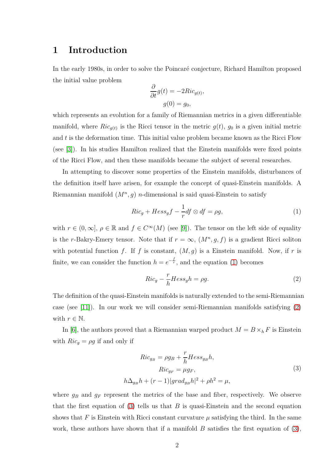## **1 Introduction**

In the early 1980s, in order to solve the Poincaré conjecture, Richard Hamilton proposed the initial value problem

$$
\frac{\partial}{\partial t}g(t) = -2Ric_{g(t)},
$$

$$
g(0) = g_0,
$$

which represents an evolution for a family of Riemannian metrics in a given differentiable manifold, where  $Ric_{g(t)}$  is the Ricci tensor in the metric  $g(t)$ ,  $g_0$  is a given initial metric and *t* is the deformation time. This initial value problem became known as the Ricci Flow (see [\[3\]](#page-23-0)). In his studies Hamilton realized that the Einstein manifolds were fixed points of the Ricci Flow, and then these manifolds became the subject of several researches.

In attempting to discover some properties of the Einstein manifolds, disturbances of the definition itself have arisen, for example the concept of quasi-Einstein manifolds. A Riemannian manifold (*M<sup>n</sup> , g*) *n*-dimensional is said quasi-Einstein to satisfy

<span id="page-1-0"></span>
$$
Ric_g + Hess_g f - \frac{1}{r} df \otimes df = \rho g,\tag{1}
$$

with  $r \in (0, \infty]$ ,  $\rho \in \mathbb{R}$  and  $f \in C^{\infty}(M)$  (see [\[9\]](#page-24-0)). The tensor on the left side of equality is the *r*-Bakry-Emery tensor. Note that if  $r = \infty$ ,  $(M^n, g, f)$  is a gradient Ricci soliton with potential function  $f$ . If  $f$  is constant,  $(M, g)$  is a Einstein manifold. Now, if  $r$  is finite, we can consider the function  $h = e^{-\frac{f}{r}}$ , and the equation [\(1\)](#page-1-0) becomes

<span id="page-1-1"></span>
$$
Ric_g - \frac{r}{h}Hess_gh = \rho g. \tag{2}
$$

The definition of the quasi-Einstein manifolds is naturally extended to the semi-Riemannian case (see [\[11\]](#page-24-1)). In our work we will consider semi-Riemannian manifolds satisfying [\(2\)](#page-1-1) with  $r \in \mathbb{N}$ .

In [\[6\]](#page-23-1), the authors proved that a Riemannian warped product  $M = B \times_h F$  is Einstein with  $Ric_g = \rho g$  if and only if

<span id="page-1-2"></span>
$$
Ric_{g_B} = \rho g_B + \frac{r}{h} Hess_{g_B} h,
$$
  
\n
$$
Ric_{g_F} = \mu g_F,
$$
  
\n
$$
h\Delta_{g_B}h + (r-1)|grad_{g_B}h|^2 + \rho h^2 = \mu,
$$
\n(3)

where  $g_B$  and  $g_F$  represent the metrics of the base and fiber, respectively. We observe that the first equation of [\(3\)](#page-1-2) tells us that  $B$  is quasi-Einstein and the second equation shows that *F* is Einstein with Ricci constant curvature  $\mu$  satisfying the third. In the same work, these authors have shown that if a manifold *B* satisfies the first equation of [\(3\)](#page-1-2),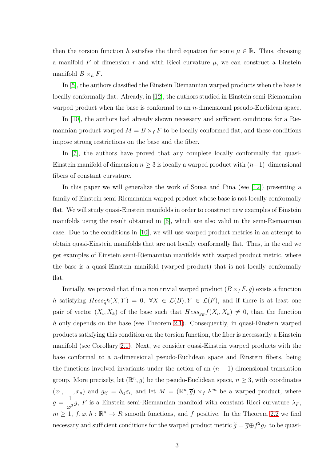then the torsion function *h* satisfies the third equation for some  $\mu \in \mathbb{R}$ . Thus, choosing a manifold  $F$  of dimension  $r$  and with Ricci curvature  $\mu$ , we can construct a Einstein manifold  $B \times_h F$ .

In [\[5\]](#page-23-2), the authors classified the Einstein Riemannian warped products when the base is locally conformally flat. Already, in [\[12\]](#page-24-2), the authors studied in Einstein semi-Riemannian warped product when the base is conformal to an *n*-dimensional pseudo-Euclidean space.

In [\[10\]](#page-24-3), the authors had already shown necessary and sufficient conditions for a Riemannian product warped  $M = B \times_f F$  to be locally conformed flat, and these conditions impose strong restrictions on the base and the fiber.

In [\[7\]](#page-24-4), the authors have proved that any complete locally conformally flat quasi-Einstein manifold of dimension  $n \geq 3$  is locally a warped product with  $(n-1)$ –dimensional fibers of constant curvature.

In this paper we will generalize the work of Sousa and Pina (see [\[12\]](#page-24-2)) presenting a family of Einstein semi-Riemannian warped product whose base is not locally conformally flat. We will study quasi-Einstein manifolds in order to construct new examples of Einstein manifolds using the result obtained in [\[6\]](#page-23-1), which are also valid in the semi-Riemannian case. Due to the conditions in [\[10\]](#page-24-3), we will use warped product metrics in an attempt to obtain quasi-Einstein manifolds that are not locally conformally flat. Thus, in the end we get examples of Einstein semi-Riemannian manifolds with warped product metric, where the base is a quasi-Einstein manifold (warped product) that is not locally conformally flat.

Initially, we proved that if in a non trivial warped product  $(B \times_f F, \tilde{g})$  exists a function *h* satisfying  $Hess_{\tilde{g}}h(X,Y) = 0$ ,  $\forall X \in \mathcal{L}(B), Y \in \mathcal{L}(F)$ , and if there is at least one pair of vector  $(X_i, X_k)$  of the base such that  $Hess_{g_B}f(X_i, X_k) \neq 0$ , than the function *h* only depends on the base (see Theorem [2.1\)](#page-3-0). Consequently, in quasi-Einstein warped products satisfying this condition on the torsion function, the fiber is necessarily a Einstein manifold (see Corollary [2.1\)](#page-3-1). Next, we consider quasi-Einstein warped products with the base conformal to a *n*-dimensional pseudo-Euclidean space and Einstein fibers, being the functions involved invariants under the action of an  $(n-1)$ -dimensional translation group. More precisely, let  $(\mathbb{R}^n, g)$  be the pseudo-Euclidean space,  $n \geq 3$ , with coordinates  $(x_1, \ldots, x_n)$  and  $g_{ij} = \delta_{ij} \varepsilon_i$ , and let  $M = (\mathbb{R}^n, \overline{g}) \times_f F^m$  be a warped product, where  $\overline{g}$  = 1  $\frac{1}{\varphi^2}$ *g*, *F* is a Einstein semi-Riemannian manifold with constant Ricci curvature  $\lambda_F$ ,  $m \geq 1$ ,  $f, \varphi, h : \mathbb{R}^n \to R$  smooth functions, and  $f$  positive. In the Theorem [2.2](#page-4-0) we find necessary and sufficient conditions for the warped product metric  $\tilde{g} = \overline{g} \oplus f^2 g_F$  to be quasi-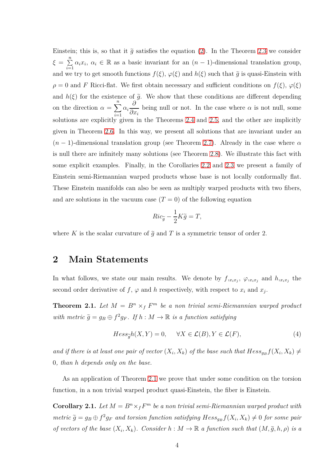Einstein; this is, so that it  $\tilde{q}$  satisfies the equation [\(2\)](#page-1-1). In the Theorem [2.3](#page-5-0) we consider  $\xi = \sum^{n}$  $\sum_{i=1}^{n} \alpha_i x_i, \ \alpha_i \in \mathbb{R}$  as a basic invariant for an  $(n-1)$ -dimensional translation group, and we try to get smooth functions  $f(\xi)$ ,  $\varphi(\xi)$  and  $h(\xi)$  such that  $\tilde{g}$  is quasi-Einstein with  $\rho = 0$  and *F* Ricci-flat. We first obtain necessary and sufficient conditions on  $f(\xi)$ ,  $\varphi(\xi)$ and  $h(\xi)$  for the existence of  $\tilde{g}$ . We show that these conditions are different depending on the direction  $\alpha = \sum_{n=1}^{\infty}$ *i*=1 *αi ∂ ∂x<sup>i</sup>* being null or not. In the case where  $\alpha$  is not null, some solutions are explicitly given in the Theorems [2.4](#page-5-1) and [2.5,](#page-6-0) and the other are implicitly given in Theorem [2.6.](#page-6-1) In this way, we present all solutions that are invariant under an  $(n-1)$ -dimensional translation group (see Theorem [2.7\)](#page-7-0). Already in the case where  $\alpha$ is null there are infinitely many solutions (see Theorem [2.8\)](#page-7-1). We illustrate this fact with some explicit examples. Finally, in the Corollaries [2.2](#page-8-0) and [2.3](#page-8-1) we present a family of Einstein semi-Riemannian warped products whose base is not locally conformally flat. These Einstein manifolds can also be seen as multiply warped products with two fibers, and are solutions in the vacuum case  $(T = 0)$  of the following equation

$$
Ric_{\widetilde{g}} - \frac{1}{2}K\widetilde{g} = T,
$$

where *K* is the scalar curvature of  $\tilde{g}$  and *T* is a symmetric tensor of order 2.

#### **2 Main Statements**

In what follows, we state our main results. We denote by  $f_{,x_ix_j}$ ,  $\varphi_{,x_ix_j}$  and  $h_{,x_ix_j}$  the second order derivative of  $f$ ,  $\varphi$  and  $h$  respectively, with respect to  $x_i$  and  $x_j$ .

<span id="page-3-0"></span>**Theorem 2.1.** Let  $M = B^n \times_f F^m$  be a non trivial semi-Riemannian warped product  $with$   $metric \ \tilde{g} = g_B \oplus f^2 g_F$ . If  $h : M \to \mathbb{R}$  is a function satisfying

<span id="page-3-2"></span>
$$
Hess_{\widetilde{g}}h(X,Y) = 0, \quad \forall X \in \mathcal{L}(B), Y \in \mathcal{L}(F), \tag{4}
$$

*and if there is at least one pair of vector*  $(X_i, X_k)$  *of the base such that*  $Hess_{g_B}f(X_i, X_k) \neq$ 0*, than h depends only on the base.*

As an application of Theorem [2.1](#page-3-0) we prove that under some condition on the torsion function, in a non trivial warped product quasi-Einstein, the fiber is Einstein.

<span id="page-3-1"></span>**Corollary 2.1.** Let  $M = B^n \times_f F^m$  be a non trivial semi-Riemannian warped product with  $metric \ \tilde{g} = g_B \oplus f^2 g_F$  and torsion function satisfying  $Hess_{g_B} f(X_i, X_k) \neq 0$  for some pair *of vectors of the base*  $(X_i, X_k)$ *. Consider*  $h : M \to \mathbb{R}$  *a function such that*  $(M, \tilde{g}, h, \rho)$  *is a*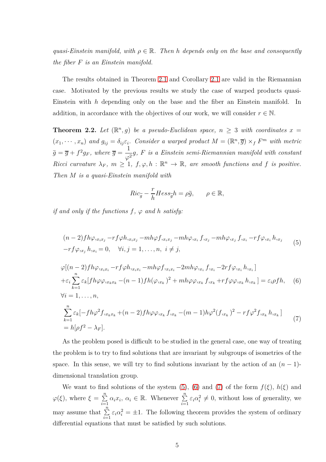*quasi-Einstein manifold, with*  $\rho \in \mathbb{R}$ . Then *h* depends only on the base and consequently *the fiber F is an Einstein manifold.*

The results obtained in Theorem [2.1](#page-3-0) and Corollary [2.1](#page-3-1) are valid in the Riemannian case. Motivated by the previous results we study the case of warped products quasi-Einstein with *h* depending only on the base and the fiber an Einstein manifold. In addition, in accordance with the objectives of our work, we will consider  $r \in \mathbb{N}$ .

<span id="page-4-0"></span>**Theorem 2.2.** Let  $(\mathbb{R}^n, g)$  be a pseudo-Euclidean space,  $n \geq 3$  with coordinates  $x =$  $(x_1, \dots, x_n)$  and  $g_{ij} = \delta_{ij} \varepsilon_i$ . Consider a warped product  $M = (\mathbb{R}^n, \overline{g}) \times_f F^m$  with metric  $\widetilde{g} = \overline{g} + f^2 g_F$ , where  $\overline{g} =$ 1  $\frac{1}{\varphi^2}$ g, *F is a Einstein semi-Riemannian manifold with constant Ricci curvature*  $\lambda_F$ ,  $m \geq 1$ ,  $f, \varphi, h : \mathbb{R}^n \to \mathbb{R}$ , are smooth functions and f is positive. *Then M is a quasi-Einstein manifold with*

$$
Ric_{\widetilde{g}} - \frac{r}{h}Hess_{\widetilde{g}}h = \rho \widetilde{g}, \qquad \rho \in \mathbb{R},
$$

*if and only if the functions*  $f$ *,*  $\varphi$  *and*  $h$  *satisfy:* 

<span id="page-4-1"></span>
$$
(n-2)fh\varphi_{,x_ix_j} - rf\varphi_{,x_ix_j} - mh\varphi_{,x_ix_j} - mh\varphi_{,x_i} f_{,x_j} - mh\varphi_{,x_j} f_{,x_i} - rf\varphi_{,x_i} h_{,x_j}
$$
  

$$
-rf\varphi_{,x_j} h_{,x_i} = 0, \quad \forall i, j = 1, ..., n, \quad i \neq j,
$$
 (5)

<span id="page-4-2"></span>
$$
\varphi[(n-2)fh\varphi_{,x_ix_i} - rf\varphi h_{,x_ix_i} - mh\varphi f_{,x_ix_i} - 2mh\varphi_{,x_i} f_{,x_i} - 2rf\varphi_{,x_i} h_{,x_i}] \n+ \varepsilon_i \sum_{k=1}^n \varepsilon_k [fh\varphi \varphi_{,x_kx_k} - (n-1)fh(\varphi_{,x_k})^2 + mh\varphi \varphi_{,x_k} f_{,x_k} + rf\varphi \varphi_{,x_k} h_{,x_k}] = \varepsilon_i \rho fh, \quad (6) \n\forall i = 1, ..., n, \n\sum_{k=1}^n \varepsilon_k [-fh\varphi^2 f_{,x_kx_k} + (n-2)fh\varphi \varphi_{,x_k} f_{,x_k} - (m-1)h\varphi^2 (f_{,x_k})^2 - rf\varphi^2 f_{,x_k} h_{,x_k}] \n= h[\rho f^2 - \lambda_F].
$$
\n(7)

<span id="page-4-3"></span>As the problem posed is difficult to be studied in the general case, one way of treating the problem is to try to find solutions that are invariant by subgroups of isometries of the space. In this sense, we will try to find solutions invariant by the action of an  $(n-1)$ dimensional translation group.

We want to find solutions of the system [\(5\)](#page-4-1), [\(6\)](#page-4-2) and [\(7\)](#page-4-3) of the form  $f(\xi)$ ,  $h(\xi)$  and  $\varphi(\xi)$ , where  $\xi = \sum^{n}$  $\sum_{i=1}^{n} \alpha_i x_i, \ \alpha_i \in \mathbb{R}$ . Whenever  $\sum_{i=1}^{n} \varepsilon_i \alpha_i^2 \neq 0$ , without loss of generality, we may assume that  $\sum_{i=1}^{n} \varepsilon_i \alpha_i^2 = \pm 1$ . The following theorem provides the system of ordinary differential equations that must be satisfied by such solutions.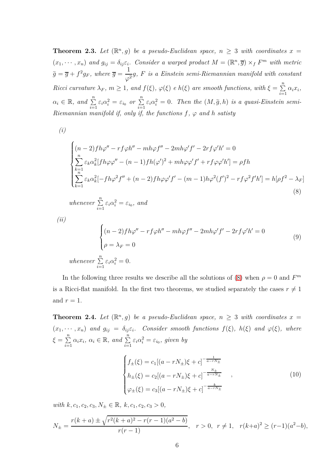<span id="page-5-0"></span>**Theorem 2.3.** Let  $(\mathbb{R}^n, g)$  be a pseudo-Euclidean space,  $n \geq 3$  with coordinates  $x =$  $(x_1, \dots, x_n)$  and  $g_{ij} = \delta_{ij} \varepsilon_i$ . Consider a warped product  $M = (\mathbb{R}^n, \overline{g}) \times_f F^m$  with metric  $\widetilde{g} = \overline{g} + f^2 g_F$ , where  $\overline{g} =$ 1  $\frac{1}{\varphi^2}$ g, *F is a Einstein semi-Riemannian manifold with constant Ricci curvature*  $\lambda_F$ ,  $m \geq 1$ , and  $f(\xi)$ ,  $\varphi(\xi)$  *e*  $h(\xi)$  are smooth functions, with  $\xi = \sum_{i=1}^n$  $\sum_{i=1}^{\infty} \alpha_i x_i,$  $\alpha_i \in \mathbb{R}$ , and  $\sum_{i=1}^n \varepsilon_i \alpha_i^2 = \varepsilon_{i_0}$  or  $\sum_{i=1}^n \varepsilon_i \alpha_i^2 = 0$ . Then the  $(M, \tilde{g}, h)$  is a quasi-Einstein semi-*Riemannian manifold if, only if, the functions*  $f$ *,*  $\varphi$  *and*  $h$  *satisty* 

*(i)*

<span id="page-5-2"></span>
$$
\begin{cases}\n(n-2)f h\varphi'' - rf\varphi h'' - mh\varphi f'' - 2mh\varphi' f' - 2rf\varphi' h' = 0 \\
\sum_{k=1}^{n} \varepsilon_k \alpha_k^2 [fh\varphi \varphi'' - (n-1)fh(\varphi')^2 + mh\varphi \varphi' f' + rf\varphi \varphi' h'] = \rho fh \\
\sum_{k=1}^{n=1} \varepsilon_k \alpha_k^2 [-fh\varphi^2 f'' + (n-2)fh\varphi \varphi' f' - (m-1)h\varphi^2 (f')^2 - rf\varphi^2 f'h'] = h[\rho f^2 - \lambda_F]\n\end{cases}
$$
\n(8)

*whenever*  $\sum_{i=1}^{n} \varepsilon_i \alpha_i^2 = \varepsilon_{i_0}$ *, and* 

$$
(ii)
$$

$$
\begin{cases}\n(n-2)fh\varphi'' - rf\varphi h'' - mh\varphi f'' - 2mh\varphi' f' - 2rf\varphi'h' = 0\\
\rho = \lambda_F = 0\n\end{cases}
$$
\nwhenever

\n
$$
\sum_{i=1}^{n} \varepsilon_i \alpha_i^2 = 0.
$$
\n(9)

In the following three results we describe all the solutions of [\(8\)](#page-5-2) when  $\rho = 0$  and  $F^m$ is a Ricci-flat manifold. In the first two theorems, we studied separately the cases  $r \neq 1$ and  $r=1$ .

<span id="page-5-1"></span>**Theorem 2.4.** Let  $(\mathbb{R}^n, g)$  be a pseudo-Euclidean space,  $n \geq 3$  with coordinates  $x =$  $(x_1, \dots, x_n)$  and  $g_{ij} = \delta_{ij} \varepsilon_i$ . Consider smooth functions  $f(\xi)$ ,  $h(\xi)$  and  $\varphi(\xi)$ , where  $\xi = \sum^{n}$  $\sum_{i=1}^{n} \alpha_i x_i, \ \alpha_i \in \mathbb{R}, \ and \ \sum_{i=1}^{n} \varepsilon_i \alpha_i^2 = \varepsilon_{i_0}, \ given \ by$ 

<span id="page-5-3"></span>
$$
\begin{cases}\nf_{\pm}(\xi) = c_1[(a - rN_{\pm})\xi + c]^{-\frac{1}{a - rN_{\pm}}} \\
h_{\pm}(\xi) = c_2[(a - rN_{\pm})\xi + c]^{-\frac{N_{\pm}}{a - rN_{\pm}}}, \\
\varphi_{\pm}(\xi) = c_3[(a - rN_{\pm})\xi + c]^{-\frac{k}{a - rN_{\pm}}} \n\end{cases}
$$
\n(10)

*with*  $k, c_1, c_2, c_3, N_+ \in \mathbb{R}, k, c_1, c_2, c_3 > 0$ ,

$$
N_{\pm} = \frac{r(k+a) \pm \sqrt{r^2(k+a)^2 - r(r-1)(a^2 - b)}}{r(r-1)}, \quad r > 0, \quad r \neq 1, \quad r(k+a)^2 \geq (r-1)(a^2 - b),
$$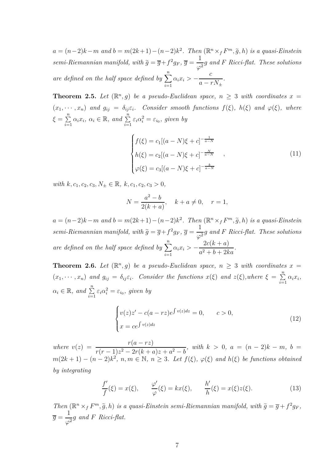$a = (n-2)k - m$  and  $b = m(2k+1) - (n-2)k^2$ . Then  $(\mathbb{R}^n \times_f F^m, \tilde{g}, h)$  is a quasi-Einstein *semi-Riemannian manifold, with*  $\tilde{g} = \overline{g} + f^2 g_F$ ,  $\overline{g} =$ 1  $\frac{1}{\varphi^2}$ g and *F Ricci-flat. These solutions are defined on the half space defined by*  $\sum_{n=1}^{n}$  $\sum_{i=1} \alpha_i x_i >$ *c*  $a - rN_{\pm}$ *.*

<span id="page-6-0"></span>**Theorem 2.5.** Let  $(\mathbb{R}^n, g)$  be a pseudo-Euclidean space,  $n \geq 3$  with coordinates  $x =$  $(x_1, \dots, x_n)$  and  $g_{ij} = \delta_{ij} \varepsilon_i$ . Consider smooth functions  $f(\xi)$ ,  $h(\xi)$  and  $\varphi(\xi)$ , where  $\xi = \sum^{n}$  $\sum_{i=1}^{n} \alpha_i x_i, \ \alpha_i \in \mathbb{R}, \ and \ \sum_{i=1}^{n} \varepsilon_i \alpha_i^2 = \varepsilon_{i_0}, \ given \ by$ 

<span id="page-6-2"></span>
$$
\begin{cases}\nf(\xi) = c_1[(a - N)\xi + c]^{-\frac{1}{a - N}} \\
h(\xi) = c_2[(a - N)\xi + c]^{-\frac{N}{a - N}} \\
\varphi(\xi) = c_3[(a - N)\xi + c]^{-\frac{k}{a - N}}\n\end{cases}
$$
\n(11)

*with*  $k, c_1, c_2, c_3, N_+ \in \mathbb{R}, k, c_1, c_2, c_3 > 0,$ 

$$
N = \frac{a^2 - b}{2(k + a)}, \quad k + a \neq 0, \quad r = 1,
$$

 $a = (n-2)k - m$  and  $b = m(2k+1) - (n-2)k^2$ . Then  $(\mathbb{R}^n \times_f F^m, \tilde{g}, h)$  is a quasi-Einstein *semi-Riemannian manifold, with*  $\tilde{g} = \overline{g} + f^2 g_F$ ,  $\overline{g} =$ 1  $\frac{1}{\varphi^2}$ g and *F Ricci-flat. These solutions are defined on the half space defined by*  $\sum_{n=1}^{n}$  $\sum_{i=1} \alpha_i x_i > 2c(k+a)$  $\frac{2b(n+2)}{a^2+b+2ka}$ .

<span id="page-6-1"></span>**Theorem 2.6.** Let  $(\mathbb{R}^n, g)$  be a pseudo-Euclidean space,  $n \geq 3$  with coordinates  $x =$  $(x_1, \dots, x_n)$  and  $g_{ij} = \delta_{ij} \varepsilon_i$ . Consider the functions  $x(\xi)$  and  $z(\xi)$ , where  $\xi = \sum_{i=1}^n$  $\sum_{i=1}^{\infty} \alpha_i x_i,$  $\alpha_i \in \mathbb{R}$ , and  $\sum_{i=1}^n \varepsilon_i \alpha_i^2 = \varepsilon_{i_0}$ , given by

<span id="page-6-4"></span>
$$
\begin{cases}\nv(z)z' - c(a - rz)e^{\int v(z)dz} = 0, & c > 0, \\
x = ce^{\int v(z)dz}\n\end{cases}
$$
\n(12)

*where*  $v(z) = \frac{r(a - rz)}{(a - 1) \cdot 2 \cdot 2 \cdot (a - 1)}$  $r(r-1)z^2 - 2r(k+a)z + a^2 - b$ , with  $k > 0$ ,  $a = (n-2)k - m$ ,  $b =$  $m(2k+1) - (n-2)k^2$ ,  $n, m \in \mathbb{N}, n \geq 3$ . Let  $f(\xi), \varphi(\xi)$  and  $h(\xi)$  be functions obtained *by integrating*

<span id="page-6-3"></span>
$$
\frac{f'}{f}(\xi) = x(\xi), \qquad \frac{\varphi'}{\varphi}(\xi) = kx(\xi), \qquad \frac{h'}{h}(\xi) = x(\xi)z(\xi). \tag{13}
$$

*Then*  $(\mathbb{R}^n \times_f F^m, \tilde{g}, h)$  *is a quasi-Einstein semi-Riemannian manifold, with*  $\tilde{g} = \overline{g} + f^2 g_F$ ,  $\overline{g}$   $=$ 1  $\frac{1}{\varphi^2}$ g and *F Ricci-flat.*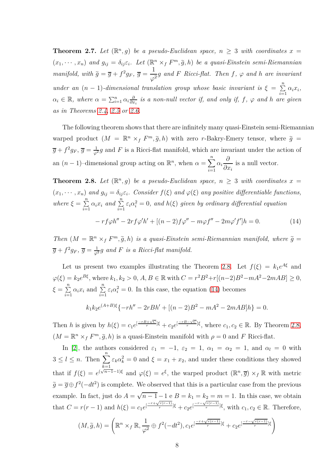<span id="page-7-0"></span>**Theorem 2.7.** Let  $(\mathbb{R}^n, g)$  be a pseudo-Euclidean space,  $n \geq 3$  with coordinates  $x =$  $(x_1, \dots, x_n)$  and  $g_{ij} = \delta_{ij} \varepsilon_i$ . Let  $(\mathbb{R}^n \times_f F^m, \tilde{g}, h)$  be a quasi-Einstein semi-Riemannian *manifold, with*  $\tilde{g} = \overline{g} + f^2 g_F$ ,  $\overline{g} =$ 1  $\frac{1}{\varphi^2}$ g and *F Ricci-flat. Then f*,  $\varphi$  and *h* are invariant *under an*  $(n - 1)$ -dimensional translation group whose basic invariant is  $\xi = \sum_{i=1}^{n}$  $\sum_{i=1}^{\infty} \alpha_i x_i,$  $\alpha_i \in \mathbb{R}$ *, where*  $\alpha = \sum_{i=1}^n \alpha_i \frac{\partial}{\partial x_i}$ *∂x<sup>i</sup> is a non-null vector if, and only if, f, ϕ and h are given as in Theorems [2.4,](#page-5-1) [2.5](#page-6-0) or [2.6.](#page-6-1)*

The following theorem shows that there are infinitely many quasi-Einstein semi-Riemannian warped product  $(M = \mathbb{R}^n \times_f F^m, \tilde{g}, h)$  with zero *r*-Bakry-Emery tensor, where  $\tilde{g}$  =  $\overline{g} + f^2 g_F$ ,  $\overline{g} = \frac{1}{\varphi^2} g$  and *F* is a Ricci-flat manifold, which are invariant under the action of an  $(n-1)$ –dimensional group acting on  $\mathbb{R}^n$ , when  $\alpha = \sum^n$ *i*=1 *αi ∂ ∂x<sup>i</sup>* is a null vector.

<span id="page-7-1"></span>**Theorem 2.8.** Let  $(\mathbb{R}^n, g)$  be a pseudo-Euclidean space,  $n \geq 3$  with coordinates  $x =$  $(x_1, \dots, x_n)$  and  $g_{ij} = \delta_{ij} \varepsilon_i$ . Consider  $f(\xi)$  and  $\varphi(\xi)$  any positive differentiable functions, *where*  $\xi = \sum^{n}$  $\sum_{i=1}^{n} \alpha_i x_i$  and  $\sum_{i=1}^{n} \varepsilon_i \alpha_i^2 = 0$ , and  $h(\xi)$  given by ordinary differential equation  $-\int f \phi h'' - 2r f \phi' h' + [(n-2) f \phi'' - m \phi f'' - 2m \phi' f'] h = 0.$  (14)

<span id="page-7-2"></span>*Then*  $(M = \mathbb{R}^n \times_f F^m, \tilde{g}, h)$  *is a quasi-Einstein semi-Riemannian manifold, where*  $\tilde{g}$  =  $\overline{g} + f^2 g_F$ ,  $\overline{g} = \frac{1}{\varphi^2} g$  and *F* is a Ricci-flat manifold.

Let us present two examples illustrating the Theorem [2.8.](#page-7-1) Let  $f(\xi) = k_1 e^{A\xi}$  and  $\varphi(\xi) = k_2 e^{B\xi}$ , where  $k_1, k_2 > 0$ , *A*, *B* ∈ ℝ with  $C = r^2 B^2 + r[(n-2)B^2 - mA^2 - 2mAB] ≥ 0$ ,  $\xi = \sum^{n}$  $\sum_{i=1}^{n} \alpha_i x_i$  and  $\sum_{i=1}^{n} \varepsilon_i \alpha_i^2 = 0$ . In this case, the equation [\(14\)](#page-7-2) becomes

$$
k_1k_2e^{(A+B)\xi}\{-rh'' - 2rBh' + [(n-2)B^2 - mA^2 - 2mAB]h\} = 0.
$$

Then *h* is given by  $h(\xi) = c_1 e^{[\frac{-rB+\sqrt{C}}{r}]\xi} + c_2 e^{[\frac{-rB-\sqrt{C}}{r}]\xi}$ , where  $c_1, c_2 \in \mathbb{R}$ . By Theorem [2.8,](#page-7-1)  $(M = \mathbb{R}^n \times_f F^m, \tilde{g}, h)$  is a quasi-Einstein manifold with  $\rho = 0$  and *F* Ricci-flat.

In [\[2\]](#page-23-3), the authors considered  $\varepsilon_1 = -1$ ,  $\varepsilon_2 = 1$ ,  $\alpha_1 = \alpha_2 = 1$ , and  $\alpha_l = 0$  with  $3 \leq l \leq n$ . Then  $\sum_{k=1}^{n} \varepsilon_k \alpha_k^2 = 0$  and  $\xi = x_1 + x_2$ , and under these conditions they showed *k*=1 that if  $f(\xi) = e^{(\sqrt{n-1}-1)\xi}$  and  $\varphi(\xi) = e^{\xi}$ , the warped product  $(\mathbb{R}^n, \overline{g}) \times_f \mathbb{R}$  with metric  $\tilde{g} = \overline{g} \oplus f^2(-dt^2)$  is complete. We observed that this is a particular case from the previous example. In fact, just do  $A = \sqrt{n-1} - 1$  e  $B = k_1 = k_2 = m = 1$ . In this case, we obtain that  $C = r(r-1)$  and  $h(\xi) = c_1 e^{[\frac{-r+\sqrt{r(r-1)}}{r}]\xi} + c_2 e^{[\frac{-r-\sqrt{r(r-1)}}{r}]\xi}$ , with  $c_1, c_2 \in \mathbb{R}$ . Therefore,

$$
(M, \tilde{g}, h) = \left( \mathbb{R}^n \times_f \mathbb{R}, \frac{1}{\varphi^2} \oplus f^2(-dt^2), c_1 e^{[\frac{-r + \sqrt{r(r-1)}}{r}]\xi} + c_2 e^{[\frac{-r - \sqrt{r(r-1)}}{r}]\xi} \right)
$$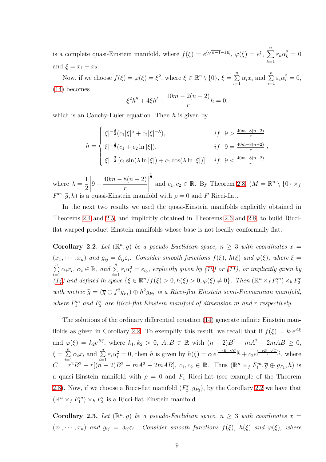is a complete quasi-Einstein manifold, where  $f(\xi) = e^{(\sqrt{n-1}-1)\xi}$ ,  $\varphi(\xi) = e^{\xi}$ ,  $\sum_{n=1}^{\infty}$ *k*=1  $\varepsilon_k \alpha_k^2 = 0$ and  $\xi = x_1 + x_2$ .

Now, if we choose  $f(\xi) = \varphi(\xi) = \xi^2$ , where  $\xi \in \mathbb{R}^n \setminus \{0\}$ ,  $\xi = \sum_{i=1}^n$  $\sum_{i=1}^{n} \alpha_i x_i$  and  $\sum_{i=1}^{n} \varepsilon_i \alpha_i^2 = 0$ , [\(14\)](#page-7-2) becomes

$$
\xi^2 h'' + 4\xi h' + \frac{10m - 2(n - 2)}{r} h = 0,
$$

which is an Cauchy-Euler equation. Then *h* is given by

$$
h = \begin{cases} |\xi|^{-\frac{3}{2}} (c_1 |\xi|^{\lambda} + c_2 |\xi|^{-\lambda}), & \text{if } 9 > \frac{40m - 8(n-2)}{r} \\ |\xi|^{-\frac{3}{2}} (c_1 + c_2 \ln |\xi|), & \text{if } 9 = \frac{40m - 8(n-2)}{r} \\ |\xi|^{-\frac{3}{2}} [c_1 \sin(\lambda \ln |\xi|) + c_1 \cos(\lambda \ln |\xi|)], & \text{if } 9 < \frac{40m - 8(n-2)}{r} \end{cases}
$$

where  $\lambda =$ 1 2  $\Big|9 40m - 8(n - 2)$ *r*  $\begin{picture}(20,20) \put(0,0){\vector(1,0){10}} \put(15,0){\vector(1,0){10}} \put(15,0){\vector(1,0){10}} \put(15,0){\vector(1,0){10}} \put(15,0){\vector(1,0){10}} \put(15,0){\vector(1,0){10}} \put(15,0){\vector(1,0){10}} \put(15,0){\vector(1,0){10}} \put(15,0){\vector(1,0){10}} \put(15,0){\vector(1,0){10}} \put(15,0){\vector(1,0){10}} \put(15,0){\vector(1$  $\frac{1}{2}$  and  $c_1, c_2 \in \mathbb{R}$ . By Theorem [2.8,](#page-7-1)  $(M = \mathbb{R}^n \setminus \{0\} \times_f)$  $F^m$ ,  $\tilde{g}$ , *h*) is a quasi-Einstein manifold with  $\rho = 0$  and *F* Ricci-flat.

In the next two results we used the quasi-Einstein manifolds explicitly obtained in Theorems [2.4](#page-5-1) and [2.5,](#page-6-0) and implicitly obtained in Theorems [2.6](#page-6-1) and [2.8,](#page-7-1) to build Ricciflat warped product Einstein manifolds whose base is not locally conformally flat.

<span id="page-8-0"></span>**Corollary 2.2.** Let  $(\mathbb{R}^n, g)$  be a pseudo-Euclidean space,  $n \geq 3$  with coordinates  $x =$  $(x_1, \dots, x_n)$  and  $g_{ij} = \delta_{ij} \varepsilon_i$ . Consider smooth functions  $f(\xi)$ ,  $h(\xi)$  and  $\varphi(\xi)$ , where  $\xi =$  $\sum_{n=1}^{\infty}$  $\sum_{i=1}^{n} \alpha_i x_i, \ \alpha_i \in \mathbb{R}$ , and  $\sum_{i=1}^{n} \varepsilon_i \alpha_i^2 = \varepsilon_{i_0}$ , explicitly given by [\(10\)](#page-5-3) or [\(11\)](#page-6-2), or implicitly given by [\(14\)](#page-7-2) and defined in space  $\{\xi \in \mathbb{R}^n / f(\xi) > 0, h(\xi) > 0, \varphi(\xi) \neq 0\}$ . Then  $(\mathbb{R}^n \times_f F_1^m) \times_h F_2^r$ *with metric*  $\tilde{g} = (\overline{g} \oplus f^2 g_{F_1}) \oplus h^2 g_{F_2}$  is a Ricci-flat Einstein semi-Riemannian manifold, *where*  $F_1^m$  *and*  $F_2^r$  *are Ricci-flat Einstein manifold of dimension m and r respectively.* 

The solutions of the ordinary differential equation [\(14\)](#page-7-2) generate infinite Einstein man-ifolds as given in Corollary [2.2.](#page-8-0) To exemplify this result, we recall that if  $f(\xi) = k_1 e^{A\xi}$ and  $\varphi(\xi) = k_2 e^{B\xi}$ , where  $k_1, k_2 > 0$ ,  $A, B \in \mathbb{R}$  with  $(n-2)B^2 - mA^2 - 2mAB \ge 0$ ,  $\xi = \sum^{n}$  $\sum_{i=1}^{n} \alpha_i x_i$  and  $\sum_{i=1}^{n} \varepsilon_i \alpha_i^2 = 0$ , then h is given by  $h(\xi) = c_1 e^{\left[\frac{-rB + \sqrt{C}}{r}\right]\xi} + c_2 e^{\left[\frac{-rB - \sqrt{C}}{r}\right]\xi}$ , where  $C = r^2B^2 + r[(n-2)B^2 - mA^2 - 2mAB], c_1, c_2 \in \mathbb{R}$ . Thus  $(\mathbb{R}^n \times_f F_1^m, \overline{g} \oplus g_{F_1}, h)$  is a quasi-Einstein manifold with  $\rho = 0$  and  $F_1$  Ricci-flat (see example of the Theorem [2.8\)](#page-7-1). Now, if we choose a Ricci-flat manifold  $(F_2^r, g_{F_2})$ , by the Corollary [2.2](#page-8-0) we have that  $(\mathbb{R}^n \times_f F_1^m) \times_h F_2^r$  is a Ricci-flat Einstein manifold.

<span id="page-8-1"></span>**Corollary 2.3.** Let  $(\mathbb{R}^n, g)$  be a pseudo-Euclidean space,  $n \geq 3$  with coordinates  $x =$  $(x_1, \dots, x_n)$  and  $g_{ij} = \delta_{ij} \varepsilon_i$ . Consider smooth functions  $f(\xi)$ ,  $h(\xi)$  and  $\varphi(\xi)$ , where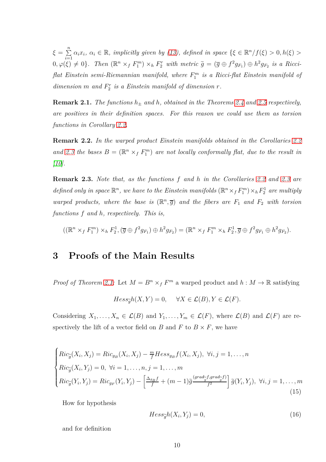$\xi = \sum^{n}$  $\sum_{i=1}^{n} \alpha_i x_i, \ \alpha_i \in \mathbb{R}$ *, implicitly given by [\(13\)](#page-6-3), defined in space*  $\{\xi \in \mathbb{R}^n / f(\xi) > 0, h(\xi) > 0\}$  $0, \varphi(\xi) \neq 0$ . Then  $(\mathbb{R}^n \times_f F_1^m) \times_h F_2^r$  with metric  $\tilde{g} = (\overline{g} \oplus f^2 g_{F_1}) \oplus h^2 g_{F_2}$  is a Ricci*flat Einstein semi-Riemannian manifold, where F m* 1 *is a Ricci-flat Einstein manifold of*  $dimension\ m\ and\ F_2^r\ is\ a\ Einstein\ manifold\ of\ dimension\ r\ .$ 

**Remark 2.1.** *The functions*  $h_{\pm}$  *and*  $h$ *, obtained in the Theorems* [2.4](#page-5-1) *and* [2.5](#page-6-0) *respectively, are positives in their definition spaces. For this reason we could use them as torsion functions in Corollary [2.2.](#page-8-0)*

**Remark 2.2.** *In the warped product Einstein manifolds obtained in the Corollaries [2.2](#page-8-0)* and [2.3](#page-8-1) the bases  $B = (\mathbb{R}^n \times_f F_1^m)$  are not locally conformally flat, due to the result in *[\[10\]](#page-24-3).*

**Remark 2.3.** *Note that, as the functions f and h in the Corollaries [2.2](#page-8-0) and [2.3](#page-8-1) are* defined only in space  $\mathbb{R}^n$ , we have to the Einstein manifolds  $(\mathbb{R}^n \times_f F_1^m) \times_h F_2^1$  are multiply *warped products, where the base is*  $(\mathbb{R}^n, \overline{g})$  *and the fibers are*  $F_1$  *and*  $F_2$  *with torsion functions f and h, respectively. This is,*

$$
((\mathbb{R}^n \times_f F_1^m) \times_h F_2^1, (\overline{g} \oplus f^2 g_{F_1}) \oplus h^2 g_{F_2}) = (\mathbb{R}^n \times_f F_1^m \times_h F_2^1, \overline{g} \oplus f^2 g_{F_1} \oplus h^2 g_{F_2}).
$$

## **3 Proofs of the Main Results**

*Proof of Theorem [2.1:](#page-3-0)* Let  $M = B^n \times_f F^m$  a warped product and  $h : M \to \mathbb{R}$  satisfying

$$
Hess_{\widetilde{g}}h(X,Y) = 0, \quad \forall X \in \mathcal{L}(B), Y \in \mathcal{L}(F).
$$

Considering  $X_1, \ldots, X_n \in \mathcal{L}(B)$  and  $Y_1, \ldots, Y_m \in \mathcal{L}(F)$ , where  $\mathcal{L}(B)$  and  $\mathcal{L}(F)$  are respectively the lift of a vector field on *B* and *F* to  $B \times F$ , we have

<span id="page-9-1"></span>
$$
\begin{cases}\nRic_{\widetilde{g}}(X_i, X_j) = Ric_{g_B}(X_i, X_j) - \frac{m}{f}Hess_{g_B}f(X_i, X_j), \ \forall i, j = 1, \dots, n \\
Ric_{\widetilde{g}}(X_i, Y_j) = 0, \ \forall i = 1, \dots, n, j = 1, \dots, m \\
Ric_{\widetilde{g}}(Y_i, Y_j) = Ric_{g_F}(Y_i, Y_j) - \left[ \frac{\Delta_{g_B}f}{f} + (m-1)\widetilde{g} \frac{(grad_{\widetilde{g}}f, grad_{\widetilde{g}}f)}{f^2} \right] \widetilde{g}(Y_i, Y_j), \ \forall i, j = 1, \dots, m\n\end{cases}
$$
\n(15)

How for hypothesis

<span id="page-9-0"></span>
$$
Hess_{\widetilde{g}}h(X_i, Y_j) = 0,\t\t(16)
$$

and for definition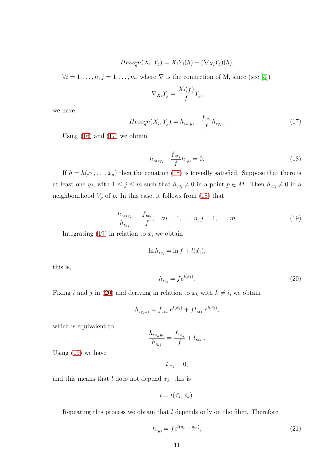$$
Hess_{\widetilde{g}}h(X_i, Y_j) = X_iY_j(h) - (\nabla_{X_i}Y_j)(h),
$$

 $\forall i = 1, \ldots, n, j = 1, \ldots, m$ , where  $\nabla$  is the connection of M, since (see [\[4\]](#page-23-4))

$$
\nabla_{X_i} Y_j = \frac{X_i(f)}{f} Y_j,
$$

we have

<span id="page-10-0"></span>
$$
Hess_{\widetilde{g}}h(X_i, Y_j) = h_{,x_iy_j} - \frac{f_{,x_i}}{f}h_{,y_j}.
$$
\n(17)

Using  $(16)$  and  $(17)$  we obtain

<span id="page-10-1"></span>
$$
h_{,x_iy_j} - \frac{f_{,x_i}}{f} h_{,y_j} = 0.
$$
\n(18)

If  $h = h(x_1, \ldots, x_n)$  then the equation [\(18\)](#page-10-1) is trivially satisfied. Suppose that there is at least one  $y_j$ , with  $1 \leq j \leq m$  such that  $h_{y_j} \neq 0$  in a point  $p \in M$ . Then  $h_{y_j} \neq 0$  in a neighbourhood  $V_p$  of  $p$ . In this case, it follows from  $(18)$  that

<span id="page-10-2"></span>
$$
\frac{h_{,x_iy_j}}{h_{,y_j}} = \frac{f_{,x_i}}{f}, \quad \forall i = 1, \dots, n, j = 1, \dots, m.
$$
\n(19)

Integrating  $(19)$  in relation to  $x_i$  we obtain

$$
\ln h_{,y_j} = \ln f + l(\hat{x}_i),
$$

this is,

<span id="page-10-3"></span>
$$
h_{,y_j} = f e^{l(\hat{x}_i)}.\tag{20}
$$

Fixing *i* and *j* in [\(20\)](#page-10-3) and deriving in relation to  $x_k$  with  $k \neq i$ , we obtain

$$
h_{,y_jx_k} = f_{,x_k} e^{l(\hat{x_i})} + fl_{,x_k} e^{l(\hat{x_i})},
$$

which is equivalent to

$$
\frac{h_{,x_ky_j}}{h_{,y_j}} = \frac{f_{,x_k}}{f} + l_{,x_k}.
$$

Using  $(19)$  we have

 $l_{,x_k} = 0,$ 

and this means that  $l$  does not depend  $x_k$ , this is

$$
l = l(\hat{x_i}, \hat{x_k}).
$$

Repeating this process we obtain that *l* depends only on the fiber. Therefore

<span id="page-10-4"></span>
$$
h_{,y_j} = f e^{l(y_1,...,y_m)},\tag{21}
$$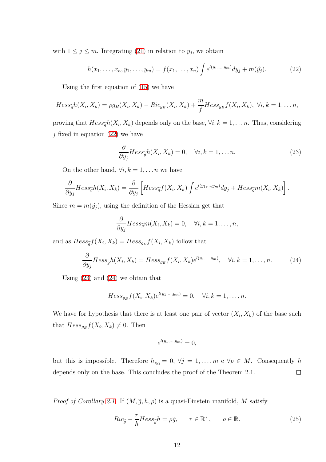with  $1 \leq j \leq m$ . Integrating [\(21\)](#page-10-4) in relation to  $y_j$ , we obtain

<span id="page-11-0"></span>
$$
h(x_1, \ldots, x_n, y_1, \ldots, y_m) = f(x_1, \ldots, x_n) \int e^{l(y_1, \ldots, y_m)} dy_j + m(\hat{y}_j).
$$
 (22)

Using the first equation of [\(15\)](#page-9-1) we have

$$
Hess_{\widetilde{g}}h(X_i,X_k)=\rho g_B(X_i,X_k)-Ric_{g_B}(X_i,X_k)+\frac{m}{f}Hess_{g_B}f(X_i,X_k),\ \forall i,k=1,\ldots n,
$$

proving that  $Hess_{\widetilde{g}}h(X_i, X_k)$  depends only on the base,  $\forall i, k = 1, ..., n$ . Thus, considering  $j$  fixed in equation [\(22\)](#page-11-0) we have

<span id="page-11-1"></span>
$$
\frac{\partial}{\partial y_j} Hess_{\widetilde{g}}h(X_i, X_k) = 0, \quad \forall i, k = 1, \dots n.
$$
 (23)

On the other hand,  $\forall i, k = 1, \ldots n$  we have

$$
\frac{\partial}{\partial y_j} Hess_{\widetilde{g}}h(X_i, X_k) = \frac{\partial}{\partial y_j} \left[ Hess_{\widetilde{g}}f(X_i, X_k) \int e^{l(y_1, \dots, y_m)} dy_j + Hess_{\widetilde{g}}m(X_i, X_k) \right].
$$

Since  $m = m(\hat{y}_j)$ , using the definition of the Hessian get that

$$
\frac{\partial}{\partial y_j} Hess_{\widetilde{g}} m(X_i, X_k) = 0, \quad \forall i, k = 1, \dots, n,
$$

and as  $Hess_{\widetilde{g}}f(X_i, X_k) = Hess_{g_B}f(X_i, X_k)$  follow that

<span id="page-11-2"></span>
$$
\frac{\partial}{\partial y_j} Hess_{\widetilde{g}}h(X_i, X_k) = Hess_{g_B}f(X_i, X_k)e^{l(y_1, \dots, y_m)}, \quad \forall i, k = 1, \dots, n. \tag{24}
$$

Using [\(23\)](#page-11-1) and [\(24\)](#page-11-2) we obtain that

$$
Hess_{g_B}f(X_i, X_k)e^{l(y_1,...,y_m)} = 0, \quad \forall i, k = 1,...,n.
$$

We have for hypothesis that there is at least one pair of vector  $(X_i, X_k)$  of the base such that  $Hess_{g_B}f(X_i, X_k) \neq 0$ . Then

$$
e^{l(y_1,\ldots,y_m)}=0,
$$

but this is impossible. Therefore  $h_{,y_j} = 0, \forall j = 1, ..., m$  e  $\forall p \in M$ . Consequently *h* depends only on the base. This concludes the proof of the Theorem 2.1.  $\Box$ 

*Proof of Corollary [2.1.](#page-3-1)* If  $(M, \tilde{g}, h, \rho)$  is a quasi-Einstein manifold, M satisfy

<span id="page-11-3"></span>
$$
Ric_{\widetilde{g}} - \frac{r}{h}Hess_{\widetilde{g}}h = \rho \widetilde{g}, \qquad r \in \mathbb{R}^*_+, \qquad \rho \in \mathbb{R}.
$$
 (25)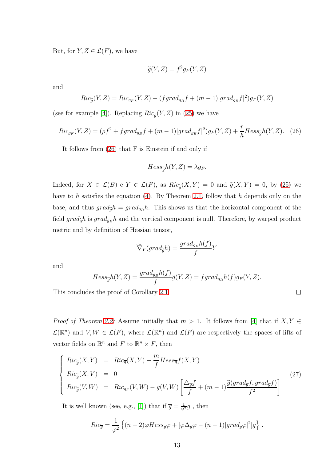But, for  $Y, Z \in \mathcal{L}(F)$ , we have

$$
\widetilde{g}(Y,Z) = f^2 g_F(Y,Z)
$$

and

$$
Ric_{\widetilde{g}}(Y,Z) = Ric_{g_F}(Y,Z) - (fgrad_{g_B}f + (m-1)|grad_{g_B}f|^2)g_F(Y,Z)
$$

(see for example [\[4\]](#page-23-4)). Replacing  $Ric_{\tilde{g}}(Y, Z)$  in [\(25\)](#page-11-3) we have

<span id="page-12-0"></span>
$$
Ric_{g_F}(Y,Z) = (\rho f^2 + f \text{grad}_{g_B} f + (m-1)|\text{grad}_{g_B} f|^2)g_F(Y,Z) + \frac{r}{h} H \text{ess}_{\widetilde{g}} h(Y,Z). \tag{26}
$$

It follows from [\(26\)](#page-12-0) that F is Einstein if and only if

$$
Hess_{\widetilde{g}}h(Y,Z) = \lambda g_F.
$$

Indeed, for  $X \in \mathcal{L}(B)$  e  $Y \in \mathcal{L}(F)$ , as  $Ric_{\tilde{g}}(X, Y) = 0$  and  $\tilde{g}(X, Y) = 0$ , by [\(25\)](#page-11-3) we have to *h* satisfies the equation [\(4\)](#page-3-2). By Theorem [2.1,](#page-3-0) follow that *h* depends only on the base, and thus  $grad_{\tilde{q}}h = grad_{g_B}h$ . This shows us that the horizontal component of the field  $grad_{\tilde{q}}h$  is  $grad_{g}h$  and the vertical component is null. Therefore, by warped product metric and by definition of Hessian tensor,

$$
\widetilde{\nabla}_Y(grad_{\widetilde{g}}h) = \frac{grad_{g_B}h(f)}{f}Y
$$

and

$$
Hess_{\widetilde{g}}h(Y,Z) = \frac{grad_{g_B}h(f)}{f}\widetilde{g}(Y,Z) = \frac{fgrad_{g_B}h(f)g_F(Y,Z)}{f}.
$$

 $\Box$ 

This concludes the proof of Corollary [2.1.](#page-3-1)

*Proof of Theorem [2.2:](#page-4-0)* Assume initially that  $m > 1$ . It follows from [\[4\]](#page-23-4) that if  $X, Y \in$  $\mathcal{L}(\mathbb{R}^n)$  and  $V, W \in \mathcal{L}(F)$ , where  $\mathcal{L}(\mathbb{R}^n)$  and  $\mathcal{L}(F)$  are respectively the spaces of lifts of vector fields on  $\mathbb{R}^n$  and  $F$  to  $\mathbb{R}^n \times F$ , then

<span id="page-12-1"></span>
$$
\begin{cases}\nRic_{\tilde{g}}(X,Y) &= Ric_{\overline{g}}(X,Y) - \frac{m}{f}Hess_{\overline{g}}f(X,Y) \\
Ric_{\tilde{g}}(X,V) &= 0 \\
Ric_{\tilde{g}}(V,W) &= Ric_{g_F}(V,W) - \tilde{g}(V,W)\left[\frac{\Delta_{\overline{g}}f}{f} + (m-1)\frac{\tilde{g}(grad_{\overline{g}}f, grad_{\overline{g}}f)}{f^2}\right]\n\end{cases}\n\tag{27}
$$

It is well known (see, e.g., [\[1\]](#page-23-5)) that if  $\overline{g} = \frac{1}{\varphi^2} g$ , then

$$
Ric_{\overline{g}} = \frac{1}{\varphi^2} \left\{ (n-2)\varphi Hess_g\varphi + [\varphi\Delta_g\varphi - (n-1)|grad_g\varphi|^2]g \right\}.
$$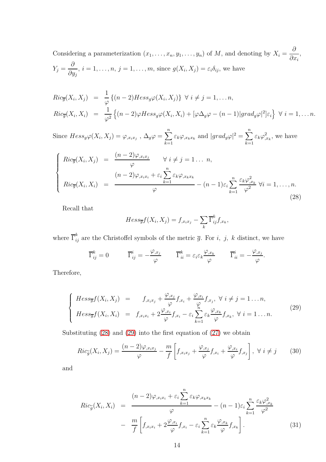Considering a parameterization  $(x_1, \ldots, x_n, y_1, \ldots, y_n)$  of *M*, and denoting by  $X_i =$ *∂ ∂x<sup>i</sup>* ,  $Y_j =$ *∂ ∂y<sup>j</sup>*  $i, i = 1, \ldots, n, j = 1, \ldots, m$ , since  $g(X_i, X_j) = \varepsilon_i \delta_{ij}$ , we have

$$
Ric_{\overline{g}}(X_i, X_j) = \frac{1}{\varphi} \{ (n-2)Hess_{g}\varphi(X_i, X_j) \} \ \forall \ i \neq j = 1, \dots n,
$$
  
\n
$$
Ric_{\overline{g}}(X_i, X_i) = \frac{1}{\varphi^2} \{ (n-2)\varphi Hess_{g}\varphi(X_i, X_i) + [\varphi \Delta_g \varphi - (n-1)|grad_g \varphi|^2] \varepsilon_i \} \ \forall \ i = 1, \dots n.
$$

Since  $Hess_{g}\varphi(X_{i}, X_{j}) = \varphi_{,x_{i}x_{j}}$ ,  $\Delta_{g}\varphi = \sum_{i=1}^{n}$ *k*=1 *ε*<sub>*k*</sub> $\varphi$ <sub>*,x<sub>k</sub>x<sub><i>k*</sub></sub> and  $|grad_g \varphi|^2 = \sum^n$ </sub> *k*=1  $\varepsilon_k \varphi_{,x_k}^2$ , we have

<span id="page-13-0"></span>
$$
\begin{cases}\nRic_{\overline{g}}(X_i, X_j) = \frac{(n-2)\varphi_{,x_ix_j}}{\varphi} & \forall i \neq j = 1 ... n, \\
Ric_{\overline{g}}(X_i, X_i) = \frac{(n-2)\varphi_{,x_ix_i} + \varepsilon_i \sum_{k=1}^n \varepsilon_k \varphi_{,x_k x_k}}{\varphi} - (n-1)\varepsilon_i \sum_{k=1}^n \frac{\varepsilon_k \varphi_{,x_k}^2}{\varphi^2} \,\forall i = 1, ..., n.\n\end{cases}
$$
\n(28)

Recall that

$$
Hess_{\overline{g}}f(X_i, X_j) = f_{,x_ix_j} - \sum_k \overline{\Gamma}_{ij}^k f_{,x_k},
$$

where  $\overline{\Gamma}_{ij}^k$  are the Christoffel symbols of the metric  $\overline{g}$ . For *i*, *j*, *k* distinct, we have

$$
\overline{\Gamma}_{ij}^k = 0 \qquad \overline{\Gamma}_{ij}^i = -\frac{\varphi_{,x_j}}{\varphi} \qquad \overline{\Gamma}_{ii}^k = \varepsilon_i \varepsilon_k \frac{\varphi_{,x_k}}{\varphi} \qquad \overline{\Gamma}_{ii}^i = -\frac{\varphi_{,x_j}}{\varphi}.
$$

Therefore,

<span id="page-13-1"></span>
$$
\begin{cases}\nHess_{\overline{g}}f(X_i, X_j) = f_{,x_ix_j} + \frac{\varphi_{,x_j}}{\varphi}f_{,x_i} + \frac{\varphi_{,x_i}}{\varphi}f_{,x_j}, \ \forall \ i \neq j = 1 \dots n, \\
Hess_{\overline{g}}f(X_i, X_i) = f_{,x_ix_i} + 2\frac{\varphi_{,x_i}}{\varphi}f_{,x_i} - \varepsilon_i \sum_{k=1}^n \varepsilon_k \frac{\varphi_{,x_k}}{\varphi}f_{,x_k}, \ \forall \ i = 1 \dots n.\n\end{cases}
$$
\n(29)

Substituting [\(28\)](#page-13-0) and [\(29\)](#page-13-1) into the first equation of [\(27\)](#page-12-1) we obtain

<span id="page-13-2"></span>
$$
Ric_{\tilde{g}}(X_i, X_j) = \frac{(n-2)\varphi_{,x_ix_j}}{\varphi} - \frac{m}{f} \left[ f_{,x_ix_j} + \frac{\varphi_{,x_j}}{\varphi} f_{,x_i} + \frac{\varphi_{,x_i}}{\varphi} f_{,x_j} \right], \ \forall \ i \neq j \tag{30}
$$

and

<span id="page-13-3"></span>
$$
Ric_{\tilde{g}}(X_i, X_i) = \frac{(n-2)\varphi_{,x_ix_i} + \varepsilon_i \sum_{k=1}^n \varepsilon_k \varphi_{,x_k x_k}}{\varphi} - (n-1)\varepsilon_i \sum_{k=1}^n \frac{\varepsilon_k \varphi_{,x_k}^2}{\varphi^2}
$$

$$
- \frac{m}{f} \left[ f_{,x_ix_i} + 2 \frac{\varphi_{,x_i}}{\varphi} f_{,x_i} - \varepsilon_i \sum_{k=1}^n \varepsilon_k \frac{\varphi_{,x_k}}{\varphi} f_{,x_k} \right].
$$
(31)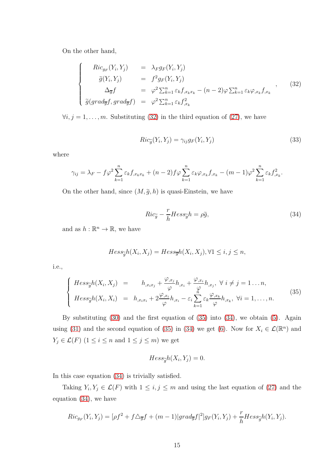On the other hand,

<span id="page-14-0"></span>
$$
\begin{cases}\nRic_{g_F}(Y_i, Y_j) &= \lambda_F g_F(Y_i, Y_j) \\
\tilde{g}(Y_i, Y_j) &= f^2 g_F(Y_i, Y_j) \\
\Delta_{\overline{g}} f &= \varphi^2 \sum_{k=1}^n \varepsilon_k f_{x_k x_k} - (n-2) \varphi \sum_{k=1}^n \varepsilon_k \varphi_{x_k} f_{x_k} \\
\tilde{g}(grad_{\overline{g}} f, grad_{\overline{g}} f) &= \varphi^2 \sum_{k=1}^n \varepsilon_k f_{x_k}^2\n\end{cases}
$$
\n(32)

 $\forall i, j = 1, \ldots, m$ . Substituting [\(32\)](#page-14-0) in the third equation of [\(27\)](#page-12-1), we have

<span id="page-14-3"></span>
$$
Ric_{\widetilde{g}}(Y_i, Y_j) = \gamma_{ij}g_F(Y_i, Y_j)
$$
\n(33)

where

$$
\gamma_{ij} = \lambda_F - f\varphi^2 \sum_{k=1}^n \varepsilon_k f_{,x_k x_k} + (n-2)f\varphi \sum_{k=1}^n \varepsilon_k \varphi_{,x_k} f_{,x_k} - (m-1)\varphi^2 \sum_{k=1}^n \varepsilon_k f_{,x_k}^2.
$$

On the other hand, since  $(M, \tilde{g}, h)$  is quasi-Einstein, we have

<span id="page-14-2"></span>
$$
Ric_{\widetilde{g}} - \frac{r}{h}Hess_{\widetilde{g}}h = \rho \widetilde{g},\tag{34}
$$

and as  $h : \mathbb{R}^n \to \mathbb{R}$ , we have

$$
Hess_{\widetilde{g}}h(X_i, X_j) = Hess_{\overline{g}}h(X_i, X_j), \forall 1 \le i, j \le n,
$$

i.e.,

<span id="page-14-1"></span>
$$
\begin{cases}\nHess_{\widetilde{g}}h(X_i, X_j) = h_{,x_ix_j} + \frac{\varphi_{,x_j}}{\varphi}h_{,x_i} + \frac{\varphi_{,x_i}}{\varphi}h_{,x_j}, \ \forall \ i \neq j = 1 \ldots n, \\
Hess_{\widetilde{g}}h(X_i, X_i) = h_{,x_ix_i} + 2\frac{\varphi_{,x_i}}{\varphi}h_{,x_i} - \varepsilon_i \sum_{k=1}^n \varepsilon_k \frac{\varphi_{,x_k}}{\varphi}h_{,x_k}, \ \forall i = 1, \ldots, n.\n\end{cases}
$$
\n(35)

By substituting [\(30\)](#page-13-2) and the first equation of [\(35\)](#page-14-1) into [\(34\)](#page-14-2), we obtain [\(5\)](#page-4-1). Again using [\(31\)](#page-13-3) and the second equation of [\(35\)](#page-14-1) in [\(34\)](#page-14-2) we get [\(6\)](#page-4-2). Now for  $X_i \in \mathcal{L}(\mathbb{R}^n)$  and  $Y_j \in \mathcal{L}(F)$  (1 ≤ *i* ≤ *n* and 1 ≤ *j* ≤ *m*) we get

$$
Hess_{\widetilde{g}}h(X_i, Y_j) = 0.
$$

In this case equation [\(34\)](#page-14-2) is trivially satisfied.

Taking  $Y_i, Y_j \in \mathcal{L}(F)$  with  $1 \leq i, j \leq m$  and using the last equation of [\(27\)](#page-12-1) and the equation [\(34\)](#page-14-2), we have

$$
Ric_{g_F}(Y_i, Y_j) = [\rho f^2 + f\triangle_{\overline{g}}f + (m-1)|grad_{\overline{g}}f|^2]g_F(Y_i, Y_j) + \frac{r}{h}Hess_{\widetilde{g}}h(Y_i, Y_j).
$$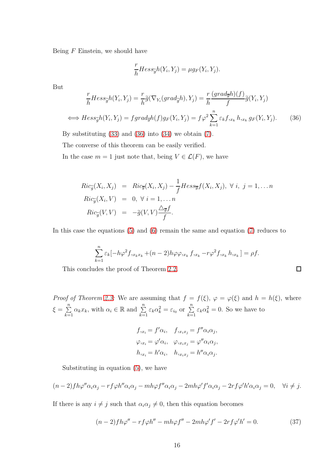Being *F* Einstein, we should have

$$
\frac{r}{h} Hess_{\widetilde{g}}h(Y_i, Y_j) = \mu g_F(Y_i, Y_j).
$$

But

<span id="page-15-0"></span>
$$
\frac{r}{h}Hess_{\widetilde{g}}h(Y_i, Y_j) = \frac{r}{h}\widetilde{g}(\nabla_{Y_i}(grad_{\widetilde{g}}h), Y_j) = \frac{r}{h}\frac{(grad_{\overline{g}}h)(f)}{f}\widetilde{g}(Y_i, Y_j)
$$
\n
$$
\iff Hess_{\widetilde{g}}h(Y_i, Y_j) = fgrad_{\overline{g}}h(f)g_F(Y_i, Y_j) = f\varphi^2 \sum_{k=1}^n \varepsilon_k f_{x_k} h_{x_k} g_F(Y_i, Y_j). \tag{36}
$$

By substituting [\(33\)](#page-14-3) and [\(36\)](#page-15-0) into [\(34\)](#page-14-2) we obtain [\(7\)](#page-4-3).

The converse of this theorem can be easily verified.

In the case  $m = 1$  just note that, being  $V \in \mathcal{L}(F)$ , we have

$$
Ric_{\tilde{g}}(X_i, X_j) = Ric_{\overline{g}}(X_i, X_j) - \frac{1}{f}Hess_{\overline{g}}f(X_i, X_j), \ \forall \ i, \ j = 1, \dots n
$$
  
\n
$$
Ric_{\tilde{g}}(X_i, V) = 0, \ \forall \ i = 1, \dots n
$$
  
\n
$$
Ric_{\tilde{g}}(V, V) = -\tilde{g}(V, V) \frac{\Delta_{\overline{g}}f}{f}.
$$

In this case the equations [\(5\)](#page-4-1) and [\(6\)](#page-4-2) remain the same and equation [\(7\)](#page-4-3) reduces to

$$
\sum_{k=1}^{n} \varepsilon_k [-h\varphi^2 f, x_k x_k + (n-2)h\varphi \varphi, x_k f, x_k - r\varphi^2 f, x_k h, x_k] = \rho f.
$$

This concludes the proof of Theorem [2.2.](#page-4-0)

*Proof of Theorem [2.3:](#page-5-0)* We are assuming that  $f = f(\xi)$ ,  $\varphi = \varphi(\xi)$  and  $h = h(\xi)$ , where  $\xi = \sum^{n}$  $\sum_{k=1}^n \alpha_k x_k$ , with  $\alpha_i \in \mathbb{R}$  and  $\sum_{k=1}^n \varepsilon_k \alpha_k^2 = \varepsilon_{i_0}$  or  $\sum_{k=1}^n \varepsilon_k \alpha_k^2 = 0$ . So we have to

$$
f_{,x_i} = f'\alpha_i, \quad f_{,x_ix_j} = f''\alpha_i\alpha_j,
$$
  

$$
\varphi_{,x_i} = \varphi'\alpha_i, \quad \varphi_{,x_ix_j} = \varphi''\alpha_i\alpha_j,
$$
  

$$
h_{,x_i} = h'\alpha_i, \quad h_{,x_ix_j} = h''\alpha_i\alpha_j.
$$

Substituting in equation [\(5\)](#page-4-1), we have

$$
(n-2)fh\varphi''\alpha_i\alpha_j - rf\varphi h''\alpha_i\alpha_j - mh\varphi f''\alpha_i\alpha_j - 2mh\varphi' f'\alpha_i\alpha_j - 2rf\varphi'h'\alpha_i\alpha_j = 0, \quad \forall i \neq j.
$$

If there is any  $i \neq j$  such that  $\alpha_i \alpha_j \neq 0$ , then this equation becomes

<span id="page-15-1"></span>
$$
(n-2)fh\varphi'' - rf\varphi h'' - mh\varphi f'' - 2mh\varphi' f' - 2rf\varphi'h' = 0.
$$
\n(37)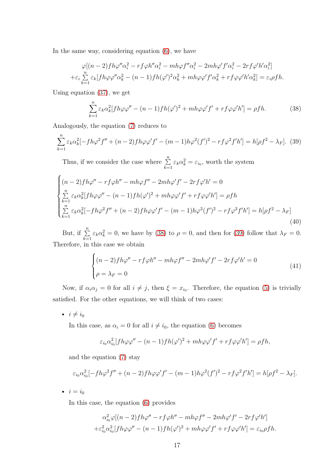In the same way, considering equation  $(6)$ , we have

$$
\varphi[(n-2)fh\varphi''\alpha_i^2 - rf\varphi h''\alpha_i^2 - mh\varphi f''\alpha_i^2 - 2mh\varphi' f'\alpha_i^2 - 2rf\varphi'h'\alpha_i^2]
$$
  
+
$$
\varepsilon_i \sum_{k=1}^n \varepsilon_k [fh\varphi\varphi''\alpha_k^2 - (n-1)fh(\varphi')^2\alpha_k^2 + mh\varphi\varphi' f'\alpha_k^2 + rf\varphi\varphi'h'\alpha_k^2] = \varepsilon_i\rho fh.
$$

Using equation [\(37\)](#page-15-1), we get

<span id="page-16-0"></span>
$$
\sum_{k=1}^{n} \varepsilon_k \alpha_k^2 [fh\varphi \varphi'' - (n-1)fh(\varphi')^2 + mh\varphi \varphi' f' + rf\varphi \varphi'h'] = \rho fh. \tag{38}
$$

Analogously, the equation [\(7\)](#page-4-3) reduces to

<span id="page-16-1"></span>
$$
\sum_{k=1}^{n} \varepsilon_k \alpha_k^2 [-fh\varphi^2 f'' + (n-2)fh\varphi\varphi' f' - (m-1)h\varphi^2 (f')^2 - rf\varphi^2 f'h'] = h[\rho f^2 - \lambda_F].
$$
 (39)

Thus, if we consider the case where  $\sum_{n=1}^{\infty}$  $\sum_{k=1}^{n} \varepsilon_k \alpha_k^2 = \varepsilon_{i_0}$ , worth the system

<span id="page-16-2"></span>
$$
\begin{cases}\n(n-2)fh\varphi'' - rf\varphi h'' - mh\varphi f'' - 2mh\varphi' f' - 2rf\varphi'h' = 0 \\
\sum_{k=1}^{n} \varepsilon_k \alpha_k^2 [fh\varphi \varphi'' - (n-1)fh(\varphi')^2 + mh\varphi \varphi' f' + rf\varphi \varphi'h'] = \rho fh \\
\sum_{k=1}^{n} \varepsilon_k \alpha_k^2 [-fh\varphi^2 f'' + (n-2)fh\varphi \varphi' f' - (m-1)h\varphi^2(f')^2 - rf\varphi^2 f'h'] = h[\rho f^2 - \lambda_F]\n\end{cases}
$$
\n(40)

But, if  $\sum_{n=1}^{\infty}$  $\sum_{k=1}^{\infty} \varepsilon_k \alpha_k^2 = 0$ , we have by [\(38\)](#page-16-0) to  $\rho = 0$ , and then for [\(39\)](#page-16-1) follow that  $\lambda_F = 0$ . Therefore, in this case we obtain

$$
\begin{cases}\n(n-2)f h\varphi'' - rf\varphi h'' - mh\varphi f'' - 2mh\varphi' f' - 2rf\varphi'h' = 0\\
\rho = \lambda_F = 0\n\end{cases}
$$
\n(41)

Now, if  $\alpha_i \alpha_j = 0$  for all  $i \neq j$ , then  $\xi = x_{i_0}$ . Therefore, the equation [\(5\)](#page-4-1) is trivially satisfied. For the other equations, we will think of two cases:

•  $i \neq i_0$ 

In this case, as  $\alpha_i = 0$  for all  $i \neq i_0$ , the equation [\(6\)](#page-4-2) becomes

$$
\varepsilon_{i_0} \alpha_{i_0}^2 [fh\varphi \varphi'' - (n-1)fh(\varphi')^2 + mh\varphi \varphi' f' + rf\varphi \varphi'h'] = \rho fh,
$$

and the equation [\(7\)](#page-4-3) stay

$$
\varepsilon_{i_0} \alpha_{i_0}^2 [-fh\varphi^2 f'' + (n-2)fh\varphi\varphi' f' - (m-1)h\varphi^2(f')^2 - rf\varphi^2 f'h'] = h[\rho f^2 - \lambda_F].
$$

•  $i = i_0$ 

In this case, the equation [\(6\)](#page-4-2) provides

$$
\alpha_{i_0}^2 \varphi[(n-2)fh\varphi'' - rf\varphi h'' - mh\varphi f'' - 2mh\varphi' f' - 2rf\varphi'h']
$$

$$
+ \varepsilon_{i_0}^2 \alpha_{i_0}^2 [fh\varphi\varphi'' - (n-1)fh(\varphi')^2 + mh\varphi\varphi' f' + rf\varphi\varphi'h'] = \varepsilon_{i_0}\rho fh.
$$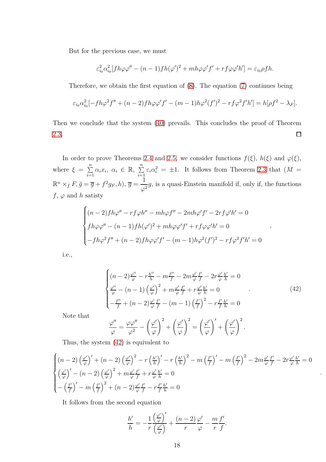But for the previous case, we must

$$
\varepsilon_{i_0}^2 \alpha_{i_0}^2 [fh\varphi \varphi'' - (n-1)fh(\varphi')^2 + mh\varphi \varphi' f' + rf\varphi \varphi'h'] = \varepsilon_{i_0} \rho fh.
$$

Therefore, we obtain the first equation of [\(8\)](#page-5-2). The equation [\(7\)](#page-4-3) continues being

$$
\varepsilon_{i_0} \alpha_{i_0}^2 [-fh\varphi^2 f'' + (n-2)fh\varphi\varphi' f' - (m-1)h\varphi^2(f')^2 - rf\varphi^2 f'h'] = h[\rho f^2 - \lambda_F].
$$

Then we conclude that the system [\(40\)](#page-16-2) prevails. This concludes the proof of Theorem [2.3.](#page-5-0)  $\Box$ 

In order to prove Theorems [2.4](#page-5-1) and [2.5,](#page-6-0) we consider functions  $f(\xi)$ ,  $h(\xi)$  and  $\varphi(\xi)$ , where  $\xi = \sum^n$  $\sum_{i=1}^n \alpha_i x_i, \ \alpha_i \in \mathbb{R}, \ \sum_{i=1}^n$  $\sum_{i=1}^{n} \varepsilon_i \alpha_i^2 = \pm 1$ . It follows from Theorem [2.3](#page-5-0) that  $(M =$  $\mathbb{R}^n \times_f F$ ,  $\tilde{g} = \overline{g} + f^2 g_F$ ,  $h$ ),  $\overline{g} =$ 1  $\frac{1}{\varphi^2}$ g, is a quasi-Einstein manifold if, only if, the functions  $f, \varphi$  and *h* satisty

$$
\begin{cases}\n(n-2)fh\varphi'' - rf\varphi h'' - mh\varphi f'' - 2mh\varphi' f' - 2rf\varphi'h' = 0 \\
fh\varphi\varphi'' - (n-1)fh(\varphi')^2 + mh\varphi\varphi' f' + rf\varphi\varphi'h' = 0 \\
-fh\varphi^2 f'' + (n-2)fh\varphi\varphi' f' - (m-1)h\varphi^2(f')^2 - rf\varphi^2 f'h' = 0\n\end{cases}
$$

i.e.,

<span id="page-17-0"></span>
$$
\begin{cases}\n(n-2)\frac{\varphi''}{\varphi} - r\frac{h''}{h} - m\frac{f''}{f} - 2m\frac{\varphi'}{\varphi}\frac{f'}{f} - 2r\frac{\varphi'}{\varphi}\frac{h'}{h} = 0\\ \n\frac{\varphi''}{\varphi} - (n-1)\left(\frac{\varphi'}{\varphi}\right)^2 + m\frac{\varphi'}{\varphi}\frac{f'}{f} + r\frac{\varphi'}{\varphi}\frac{h'}{h} = 0\\ \n-\frac{f''}{f} + (n-2)\frac{\varphi'}{\varphi}\frac{f'}{f} - (m-1)\left(\frac{f'}{f}\right)^2 - r\frac{f'}{f}\frac{h'}{h} = 0\n\end{cases}
$$
\n(42)

*,*

*.*

*.*

Note that

$$
\frac{\varphi''}{\varphi} = \frac{\varphi \varphi''}{\varphi^2} - \left(\frac{\varphi'}{\varphi}\right)^2 + \left(\frac{\varphi'}{\varphi}\right)^2 = \left(\frac{\varphi'}{\varphi}\right)' + \left(\frac{\varphi'}{\varphi}\right)^2
$$

Thus, the system [\(42\)](#page-17-0) is equivalent to

$$
\begin{cases}\n\left(n-2\right)\left(\frac{\varphi'}{\varphi}\right)' + \left(n-2\right)\left(\frac{\varphi'}{\varphi}\right)^2 - r\left(\frac{h'}{h}\right)' - r\left(\frac{h'}{h}\right)^2 - m\left(\frac{f'}{f}\right)' - m\left(\frac{f'}{f}\right)^2 - 2m\frac{\varphi'}{\varphi}\frac{f'}{f} - 2r\frac{\varphi'}{\varphi}\frac{h'}{h} = 0 \\
\left(\frac{\varphi'}{\varphi}\right)' - \left(n-2\right)\left(\frac{\varphi'}{\varphi}\right)^2 + m\frac{\varphi'}{\varphi}\frac{f'}{f} + r\frac{\varphi'}{\varphi}\frac{h'}{h} = 0 \\
-\left(\frac{f'}{f}\right)' - m\left(\frac{f'}{f}\right)^2 + \left(n-2\right)\frac{\varphi'}{\varphi}\frac{f'}{f} - r\frac{f'}{f}\frac{h'}{h} = 0\n\end{cases}
$$

It follows from the second equation

$$
\frac{h'}{h} = -\frac{1}{r} \frac{\left(\frac{\varphi'}{\varphi}\right)'}{\left(\frac{\varphi'}{\varphi}\right)} + \frac{(n-2)\varphi'}{r} - \frac{m}{r} \frac{f'}{f}.
$$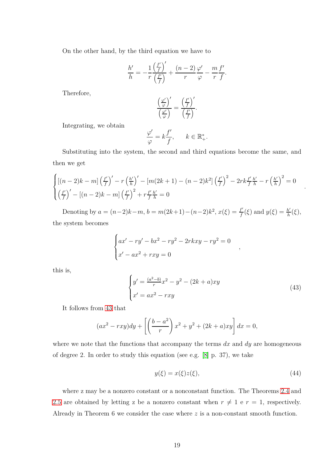On the other hand, by the third equation we have to

$$
\frac{h'}{h} = -\frac{1}{r} \frac{\left(\frac{f'}{f}\right)'}{\left(\frac{f'}{f}\right)} + \frac{(n-2)\varphi'}{r} - \frac{m}{r} \frac{f'}{f}.
$$

Therefore,

$$
\frac{\left(\frac{\varphi'}{\varphi}\right)'}{\left(\frac{\varphi'}{\varphi}\right)} = \frac{\left(\frac{f'}{f}\right)'}{\left(\frac{f'}{f}\right)}.
$$

Integrating, we obtain

$$
\frac{\varphi'}{\varphi} = k \frac{f'}{f}, \qquad k \in \mathbb{R}_+^*.
$$

Substituting into the system, the second and third equations become the same, and then we get

$$
\begin{cases}\n\left[(n-2)k-m\right]\left(\frac{f'}{f}\right)' - r\left(\frac{h'}{h}\right)' - \left[m(2k+1) - (n-2)k^2\right]\left(\frac{f'}{f}\right)^2 - 2rk\frac{f'}{f}\frac{h'}{h} - r\left(\frac{h'}{h}\right)^2 = 0 \\
\left(\frac{f'}{f}\right)' - \left[(n-2)k - m\right]\left(\frac{f'}{f}\right)^2 + r\frac{f'}{f}\frac{h'}{h} = 0\n\end{cases}
$$

Denoting by  $a = (n-2)k-m$ ,  $b = m(2k+1)-(n-2)k^2$ ,  $x(\xi) = \frac{f'}{f}$  $\frac{f'}{f}(\xi)$  and  $y(\xi) = \frac{h'}{h}$ *h* (*ξ*), the system becomes

$$
\begin{cases}\nax' - ry' - bx^2 - ry^2 - 2rkxy - ry^2 = 0 \\
x' - ax^2 + rxy = 0\n\end{cases}
$$

this is,

<span id="page-18-0"></span>
$$
\begin{cases}\ny' = \frac{(a^2 - b)}{r}x^2 - y^2 - (2k + a)xy \\
x' = ax^2 - rxy\n\end{cases}
$$
\n(43)

*,*

*.*

It follows from [43](#page-18-0) that

$$
(ax^{2} - rxy)dy + \left[\left(\frac{b-a^{2}}{r}\right)x^{2} + y^{2} + (2k+a)xy\right]dx = 0,
$$

where we note that the functions that accompany the terms *dx* and *dy* are homogeneous of degree 2. In order to study this equation (see e.g. [\[8\]](#page-24-5) p. 37), we take

<span id="page-18-1"></span>
$$
y(\xi) = x(\xi)z(\xi),\tag{44}
$$

where z may be a nonzero constant or a nonconstant function. The Theorems [2.4](#page-5-1) and [2.5](#page-6-0) are obtained by letting z be a nonzero constant when  $r \neq 1$  e  $r = 1$ , respectively. Already in Theorem 6 we consider the case where *z* is a non-constant smooth function.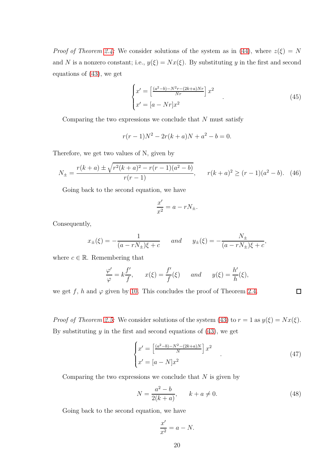*Proof of Theorem [2.4:](#page-5-1)* We consider solutions of the system as in [\(44\)](#page-18-1), where  $z(\xi) = N$ and *N* is a nonzero constant; i.e.,  $y(\xi) = Nx(\xi)$ . By substituting *y* in the first and second equations of [\(43\)](#page-18-0), we get

$$
\begin{cases}\nx' = \left[\frac{(a^2 - b) - N^2 r - (2k + a) N r}{N r}\right] x^2 \\
x' = [a - N r] x^2\n\end{cases} \tag{45}
$$

Comparing the two expressions we conclude that *N* must satisfy

$$
r(r-1)N^2 - 2r(k+a)N + a^2 - b = 0.
$$

Therefore, we get two values of N, given by

$$
N_{\pm} = \frac{r(k+a) \pm \sqrt{r^2(k+a)^2 - r(r-1)(a^2 - b)}}{r(r-1)}, \qquad r(k+a)^2 \ge (r-1)(a^2 - b). \tag{46}
$$

Going back to the second equation, we have

$$
\frac{x'}{x^2} = a - rN_{\pm}.
$$

Consequently,

$$
x_{\pm}(\xi) = -\frac{1}{(a - rN_{\pm})\xi + c}
$$
 and  $y_{\pm}(\xi) = -\frac{N_{\pm}}{(a - rN_{\pm})\xi + c}$ ,

where  $c \in \mathbb{R}$ . Remembering that

$$
\frac{\varphi'}{\varphi} = k \frac{f'}{f}, \qquad x(\xi) = \frac{f'}{f}(\xi) \qquad and \qquad y(\xi) = \frac{h'}{h}(\xi),
$$

we get  $f$ ,  $h$  and  $\varphi$  given by [10.](#page-5-3) This concludes the proof of Theorem [2.4.](#page-5-1)

*Proof of Theorem [2.5:](#page-6-0)* We consider solutions of the system [\(43\)](#page-18-0) to  $r = 1$  as  $y(\xi) = Nx(\xi)$ . By substituting *y* in the first and second equations of [\(43\)](#page-18-0), we get

$$
\begin{cases}\nx' = \left[\frac{(a^2 - b) - N^2 - (2k + a)N}{N}\right] x^2 \\
x' = [a - N] x^2\n\end{cases} \tag{47}
$$

 $\Box$ 

Comparing the two expressions we conclude that *N* is given by

$$
N = \frac{a^2 - b}{2(k + a)}, \qquad k + a \neq 0.
$$
 (48)

Going back to the second equation, we have

$$
\frac{x'}{x^2} = a - N.
$$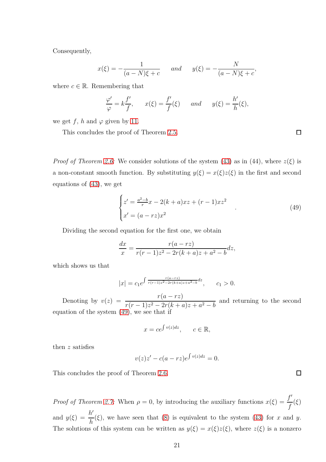Consequently,

$$
x(\xi) = -\frac{1}{(a-N)\xi + c}
$$
 and  $y(\xi) = -\frac{N}{(a-N)\xi + c}$ ,

where  $c \in \mathbb{R}$ . Remembering that

$$
\frac{\varphi'}{\varphi} = k \frac{f'}{f}, \qquad x(\xi) = \frac{f'}{f}(\xi) \qquad and \qquad y(\xi) = \frac{h'}{h}(\xi),
$$

we get  $f$ ,  $h$  and  $\varphi$  given by [11.](#page-6-2)

This concludes the proof of Theorem [2.5.](#page-6-0)

*Proof of Theorem [2.6:](#page-6-1)* We consider solutions of the system [\(43\)](#page-18-0) as in (44), where  $z(\xi)$  is a non-constant smooth function. By substituting  $y(\xi) = x(\xi)z(\xi)$  in the first and second equations of [\(43\)](#page-18-0), we get

<span id="page-20-0"></span>
$$
\begin{cases} z' = \frac{a^2 - b}{r}x - 2(k+a)xz + (r-1)xz^2 \\ x' = (a - rz)x^2 \end{cases}
$$
\n(49)

Dividing the second equation for the first one, we obtain

$$
\frac{dx}{x} = \frac{r(a - rz)}{r(r - 1)z^2 - 2r(k + a)z + a^2 - b}dz,
$$

which shows us that

$$
|x| = c_1 e^{\int \frac{r(a-rz)}{r(r-1)z^2 - 2r(k+a)z + a^2 - b} dz}, \qquad c_1 > 0.
$$

Denoting by  $v(z) = \frac{r(a - rz)}{(a - 1)^2 - 2(a - 1)}$  $r(r-1)z^2 - 2r(k+a)z + a^2 - b$  and returning to the second equation of the system [\(49\)](#page-20-0), we see that if

$$
x = ce^{\int v(z)dz}, \qquad c \in \mathbb{R},
$$

then *z* satisfies

$$
v(z)z' - c(a - rz)e^{\int v(z)dz} = 0.
$$

This concludes the proof of Theorem [2.6.](#page-6-1)

*Proof of Theorem [2.7:](#page-7-0)* When  $\rho = 0$ , by introducing the auxiliary functions  $x(\xi) = \frac{f'}{f}$ *f* (*ξ*) and  $y(\xi) = \frac{h'}{h}$ *h* (*ξ*), we have seen that [\(8\)](#page-5-2) is equivalent to the system [\(43\)](#page-18-0) for *x* and *y*. The solutions of this system can be written as  $y(\xi) = x(\xi)z(\xi)$ , where  $z(\xi)$  is a nonzero

 $\Box$ 

 $\Box$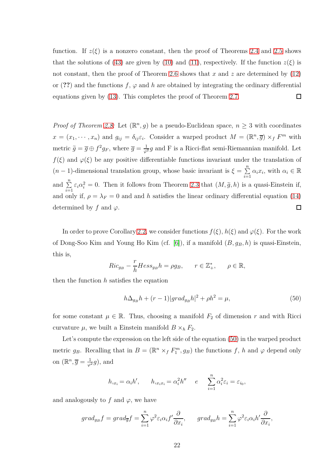function. If  $z(\xi)$  is a nonzero constant, then the proof of Theorems [2.4](#page-5-1) and [2.5](#page-6-0) shows that the solutions of [\(43\)](#page-18-0) are given by [\(10\)](#page-5-3) and [\(11\)](#page-6-2), respectively. If the function  $z(\xi)$  is not constant, then the proof of Theorem [2.6](#page-6-1) shows that *x* and *z* are determined by [\(12\)](#page-6-4) or (??) and the functions  $f$ ,  $\varphi$  and  $h$  are obtained by integrating the ordinary differential equations given by [\(13\)](#page-6-3). This completes the proof of Theorem [2.7.](#page-7-0)  $\Box$ 

*Proof of Theorem [2.8:](#page-7-1)* Let  $(\mathbb{R}^n, g)$  be a pseudo-Euclidean space,  $n \geq 3$  with coordinates  $x = (x_1, \dots, x_n)$  and  $g_{ij} = \delta_{ij} \varepsilon_i$ . Consider a warped product  $M = (\mathbb{R}^n, \overline{g}) \times_f F^m$  with metric  $\tilde{g} = \overline{g} \oplus f^2 g_F$ , where  $\overline{g} = \frac{1}{\varphi^2} g$  and F is a Ricci-flat semi-Riemannian manifold. Let  $f(\xi)$  and  $\varphi(\xi)$  be any positive differentiable functions invariant under the translation of  $(n-1)$ -dimensional translation group, whose basic invariant is  $\xi = \sum_{i=1}^{n}$  $\sum_{i=1}^{n} \alpha_i x_i$ , with  $\alpha_i \in \mathbb{R}$ and  $\sum_{i=1}^{n} \varepsilon_i \alpha_i^2 = 0$ . Then it follows from Theorem [2.3](#page-5-0) that  $(M, \tilde{g}, h)$  is a quasi-Einstein if, and only if,  $\rho = \lambda_F = 0$  and and *h* satisfies the linear ordinary differential equation [\(14\)](#page-7-2) determined by  $f$  and  $\varphi$ .  $\Box$ 

In order to prove Corollary [2.2,](#page-8-0) we consider functions  $f(\xi)$ ,  $h(\xi)$  and  $\varphi(\xi)$ . For the work of Dong-Soo Kim and Young Ho Kim (cf. [\[6\]](#page-23-1)), if a manifold (*B, gB, h*) is quasi-Einstein, this is,

$$
Ric_{g_B} - \frac{r}{h} Hess_{g_B} h = \rho g_B, \qquad r \in \mathbb{Z}_+^*, \qquad \rho \in \mathbb{R},
$$

then the function *h* satisfies the equation

<span id="page-21-0"></span>
$$
h\Delta_{g_B}h + (r-1)|grad_{g_B}h|^2 + \rho h^2 = \mu,
$$
\n(50)

for some constant  $\mu \in \mathbb{R}$ . Thus, choosing a manifold  $F_2$  of dimension r and with Ricci curvature  $\mu$ , we built a Einstein manifold  $B \times_h F_2$ .

Let's compute the expression on the left side of the equation  $(50)$  in the warped product metric  $g_B$ . Recalling that in  $B = (\mathbb{R}^n \times_f F_1^m, g_B)$  the functions  $f$ ,  $h$  and  $\varphi$  depend only on  $(\mathbb{R}^n, \overline{g}) = \frac{1}{\varphi^2}g$ , and

$$
h_{,x_i} = \alpha_i h', \qquad h_{,x_ix_i} = \alpha_i^2 h'' \qquad e \qquad \sum_{i=1}^n \alpha_i^2 \varepsilon_i = \varepsilon_{i_0},
$$

and analogously to  $f$  and  $\varphi$ , we have

$$
grad_{g_B}f = grad_{\overline{g}}f = \sum_{i=1}^n \varphi^2 \varepsilon_i \alpha_i f' \frac{\partial}{\partial x_i}, \quad grad_{g_B}h = \sum_{i=1}^n \varphi^2 \varepsilon_i \alpha_i h' \frac{\partial}{\partial x_i},
$$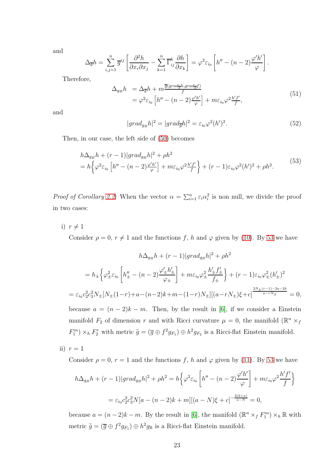and

$$
\Delta_{\overline{g}}h = \sum_{i,j=1}^n \overline{g}^{ij} \left[ \frac{\partial^2 h}{\partial x_i \partial x_j} - \sum_{k=1}^n \overline{\Gamma}_{ij}^k \frac{\partial h}{\partial x_k} \right] = \varphi^2 \varepsilon_{i_0} \left[ h'' - (n-2) \frac{\varphi' h'}{\varphi} \right].
$$

Therefore,

$$
\Delta_{g_B} h = \Delta_{\overline{g}} h + m \frac{\overline{g}(\text{grad}_{\overline{g}} h, \text{grad}_{\overline{g}} f)}{f}
$$
  
=  $\varphi^2 \varepsilon_{i_0} \left[ h'' - (n-2) \frac{\varphi' h'}{\varphi} \right] + m \varepsilon_{i_0} \varphi^2 \frac{h' f'}{f},$  (51)

and

$$
|grad_{g_B}h|^2 = |grad_{\overline{g}}h|^2 = \varepsilon_{i_0}\varphi^2(h')^2.
$$
 (52)

Then, in our case, the left side of [\(50\)](#page-21-0) becomes

<span id="page-22-0"></span>
$$
h\Delta_{g_B}h + (r-1)|grad_{g_B}h|^2 + \rho h^2
$$
  
=  $h\left\{\varphi^2\varepsilon_{i_0}\left[h'' - (n-2)\frac{\varphi'h'}{\varphi}\right] + m\varepsilon_{i_0}\varphi^2\frac{h'f'}{f}\right\} + (r-1)\varepsilon_{i_0}\varphi^2(h')^2 + \rho h^2.$  (53)

*Proof of Corollary [2.2:](#page-8-0)* When the vector  $\alpha = \sum_{i=1}^{n} \varepsilon_i \alpha_i^2$  is non null, we divide the proof in two cases:

i)  $r \neq 1$ 

Consider  $\rho = 0, r \neq 1$  and the functions f, h and  $\varphi$  given by [\(10\)](#page-5-3). By [53](#page-22-0) we have

$$
h\Delta_{g_B}h + (r-1)|grad_{g_B}h|^2 + \rho h^2
$$
  
=  $h_{\pm} \Big\{ \varphi_{\pm}^2 \varepsilon_{i_0} \left[ h''_{\pm} - (n-2) \frac{\varphi_{\pm}' h'_{\pm}}{\varphi_{\pm}} \right] + m\varepsilon_{i_0} \varphi_{\pm}^2 \frac{h'_{\pm} f'_{\pm}}{f_{\pm}} \Big\} + (r-1)\varepsilon_{i_0} \varphi_{\pm}^2 (h'_{\pm})^2$   
=  $\varepsilon_{i_0} c_2^2 c_3^2 N_{\pm} [N_{\pm}(1-r) + a - (n-2)k + m - (1-r)N_{\pm}] [(a-r)N_{\pm})\xi + c]^{\frac{2N_{\pm}(r-1) - 2a - 2k}{a - rN_{\pm}}} = 0,$ 

because  $a = (n-2)k - m$ . Then, by the result in [\[6\]](#page-23-1), if we consider a Einstein manifold  $F_2$  of dimension  $r$  and with Ricci curvature  $\mu = 0$ , the manifold  $(\mathbb{R}^n \times_f)$  $F_1^m$   $\times$  *h*  $F_2^r$  with metric  $\tilde{g} = (\overline{g} \oplus f^2 g_{F_1}) \oplus h^2 g_{F_2}$  is a Ricci-flat Einstein manifold.

ii)  $r=1$ 

Consider  $\rho = 0$ ,  $r = 1$  and the functions f, h and  $\varphi$  given by [\(11\)](#page-6-2). By [53](#page-22-0) we have

$$
h\Delta_{g_B}h + (r-1)|grad_{g_B}h|^2 + \rho h^2 = h\left\{\varphi^2 \varepsilon_{i_0} \left[h'' - (n-2)\frac{\varphi'h'}{\varphi}\right] + m\varepsilon_{i_0}\varphi^2 \frac{h'f'}{f}\right\}
$$
  
=  $\varepsilon_{i_0}c_2^2c_3^2N[a - (n-2)k + m][(a - N)\xi + c]^{-\frac{2(k+a)}{a-N}} = 0,$ 

because  $a = (n-2)k - m$ . By the result in [\[6\]](#page-23-1), the manifold  $(\mathbb{R}^n \times_f F_1^m) \times_h \mathbb{R}$  with metric  $\tilde{g} = (\overline{g} \oplus f^2 g_{F_1}) \oplus h^2 g_{\mathbb{R}}$  is a Ricci-flat Einstein manifold.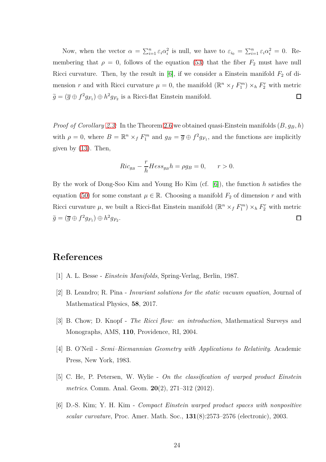Now, when the vector  $\alpha = \sum_{i=1}^n \varepsilon_i \alpha_i^2$  is null, we have to  $\varepsilon_{i_0} = \sum_{i=1}^n \varepsilon_i \alpha_i^2 = 0$ . Remembering that  $\rho = 0$ , follows of the equation [\(53\)](#page-22-0) that the fiber  $F_2$  must have null Ricci curvature. Then, by the result in  $[6]$ , if we consider a Einstein manifold  $F_2$  of dimension *r* and with Ricci curvature  $\mu = 0$ , the manifold  $(\mathbb{R}^n \times_f F_1^m) \times_h F_2^r$  with metric  $\widetilde{g} = (\overline{g} \oplus f^2 g_{F_1}) \oplus h^2 g_{F_2}$  is a Ricci-flat Einstein manifold.  $\Box$ 

*Proof of Corollary [2.3:](#page-8-1)* In the Theorem [2.6](#page-6-1) we obtained quasi-Einstein manifolds (*B, gB, h*) with  $\rho = 0$ , where  $B = \mathbb{R}^n \times_f F_1^m$  and  $g_B = \overline{g} \oplus f^2 g_{F_1}$ , and the functions are implicitly given by  $(13)$ . Then,

$$
Ric_{g_B} - \frac{r}{h}Hess_{g_B}h = \rho g_B = 0, \qquad r > 0.
$$

By the work of Dong-Soo Kim and Young Ho Kim (cf. [\[6\]](#page-23-1)), the function *h* satisfies the equation [\(50\)](#page-21-0) for some constant  $\mu \in \mathbb{R}$ . Choosing a manifold  $F_2$  of dimension r and with Ricci curvature  $\mu$ , we built a Ricci-flat Einstein manifold  $(\mathbb{R}^n \times_f F_1^m) \times_h F_2^r$  with metric  $\widetilde{g} = (\overline{g} \oplus f^2 g_{F_1}) \oplus h^2 g_{F_2}.$  $\Box$ 

# <span id="page-23-5"></span>**References**

- <span id="page-23-3"></span>[1] A. L. Besse - *Einstein Manifolds*, Spring-Verlag, Berlin, 1987.
- <span id="page-23-0"></span>[2] B. Leandro; R. Pina - *Invariant solutions for the static vacuum equation*, Journal of Mathematical Physics, **58**, 2017.
- <span id="page-23-4"></span>[3] B. Chow; D. Knopf - *The Ricci flow: an introduction*, Mathematical Surveys and Monographs, AMS, **110**, Providence, RI, 2004.
- <span id="page-23-2"></span>[4] B. O'Neil - *Semi–Riemannian Geometry with Applications to Relativity*. Academic Press, New York, 1983.
- <span id="page-23-1"></span>[5] C. He, P. Petersen, W. Wylie - *On the classification of warped product Einstein metrics*. Comm. Anal. Geom. **20**(2), 271–312 (2012).
- [6] D.-S. Kim; Y. H. Kim *Compact Einstein warped product spaces with nonpositive scalar curvature*, Proc. Amer. Math. Soc., **131**(8):2573–2576 (electronic), 2003.